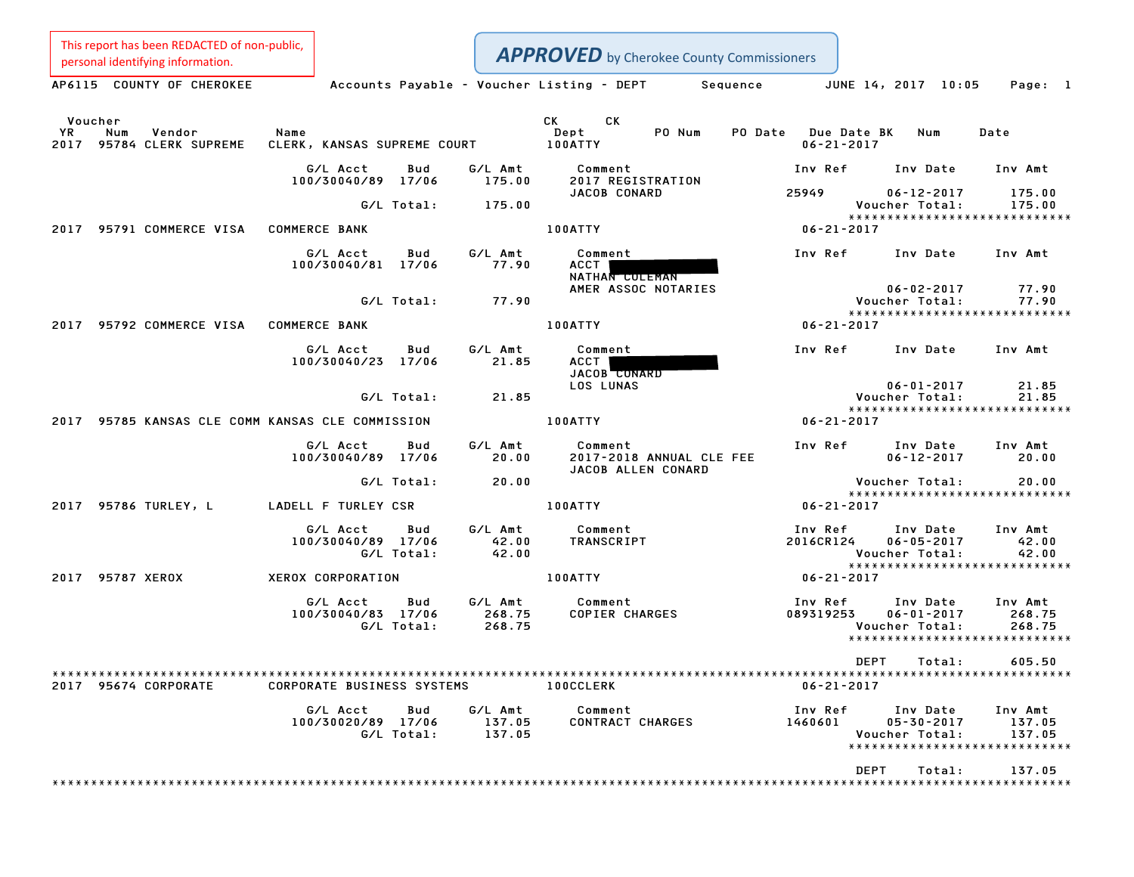| This report has been REDACTED of non-public,<br>personal identifying information. |                                                     |                             | <b>APPROVED</b> by Cherokee County Commissioners          |                             |                                                                                 |                             |
|-----------------------------------------------------------------------------------|-----------------------------------------------------|-----------------------------|-----------------------------------------------------------|-----------------------------|---------------------------------------------------------------------------------|-----------------------------|
| AP6115 COUNTY OF CHEROKEE                                                         | Accounts Payable - Voucher Listing - DEPT           |                             |                                                           | Sequence                    | JUNE 14, 2017 10:05                                                             | Page: 1                     |
| Voucher<br>YR<br>Num<br>Vendor<br>95784 CLERK SUPREME<br>2017                     | Name<br>CLERK, KANSAS SUPREME COURT                 |                             | CK.<br>CK<br>Dept<br>PO Num<br><b>100ATTY</b>             | PO Date<br>$06 - 21 - 2017$ | <b>Due Date BK</b><br>Num                                                       | Date                        |
|                                                                                   | G/L Acct<br>Bud<br>100/30040/89 17/06               | G/L Amt<br>175.00           | Comment<br>2017 REGISTRATION                              | Inv Ref                     | Inv Date                                                                        | Inv Amt                     |
|                                                                                   | G/L Total:                                          | 175.00                      | JACOB CONARD                                              | 25949                       | $06 - 12 - 2017$<br>Voucher Total:<br>*****************************             | 175.00<br>175.00            |
| 95791 COMMERCE VISA<br>2017                                                       | <b>COMMERCE BANK</b>                                |                             | 100ATTY                                                   | $06 - 21 - 2017$            |                                                                                 |                             |
|                                                                                   | G/L Acct<br>Bud<br>100/30040/81 17/06               | G/L Amt<br>77.90            | Comment<br>ACCT<br>NATHAN COLEMAN                         | Inv Ref                     | Inv Date                                                                        | Inv Amt                     |
|                                                                                   | G/L Total:                                          | 77.90                       | AMER ASSOC NOTARIES                                       |                             | $06 - 02 - 2017$<br>Voucher Total:<br>*****************************             | 77.90<br>77.90              |
| 95792 COMMERCE VISA<br>2017                                                       | <b>COMMERCE BANK</b>                                |                             | 100ATTY                                                   | $06 - 21 - 2017$            |                                                                                 |                             |
|                                                                                   | G/L Acct<br>Bud<br>100/30040/23 17/06               | G/L Amt<br>21.85            | Comment<br>ACCT<br><b>JACOB</b> CONARD                    | Inv Ref                     | Inv Date                                                                        | Inv Amt                     |
|                                                                                   | G/L Total:                                          | 21.85                       | LOS LUNAS                                                 |                             | $06 - 01 - 2017$<br>Voucher Total:                                              | 21.85<br>21.85              |
| 2017                                                                              | 95785 KANSAS CLE COMM KANSAS CLE COMMISSION         |                             | 100ATTY                                                   | $06 - 21 - 2017$            | *****************************                                                   |                             |
|                                                                                   | G/L Acct<br>Bud<br>100/30040/89 17/06               | G/L Amt<br>20.00            | Comment<br>2017-2018 ANNUAL CLE FEE<br>JACOB ALLEN CONARD | Inv Ref                     | Inv Date<br>$06 - 12 - 2017$                                                    | Inv Amt<br>20.00            |
|                                                                                   | G/L Total:                                          | 20.00                       |                                                           |                             | Voucher Total:<br>*****************************                                 | 20.00                       |
| 95786 TURLEY, L<br>2017                                                           | LADELL F TURLEY CSR                                 |                             | 100ATTY                                                   | $06 - 21 - 2017$            |                                                                                 |                             |
|                                                                                   | G/L Acct<br>Bud<br>100/30040/89 17/06<br>G/L Total: | G/L Amt<br>42.00<br>42.00   | Comment<br><b>TRANSCRIPT</b>                              | Inv Ref<br>2016CR124        | Inv Date<br>$06 - 05 - 2017$<br>Voucher Total:<br>***************************** | Inv Amt<br>42.00<br>42.00   |
| 95787 XEROX<br>2017                                                               | XEROX CORPORATION                                   |                             | 100ATTY                                                   | $06 - 21 - 2017$            |                                                                                 |                             |
|                                                                                   | Bud<br>G/L Acct<br>100/30040/83 17/06<br>G/L Total: | G/L Amt<br>268.75<br>268.75 | Comment<br><b>COPIER CHARGES</b>                          | Inv Ref<br>089319253        | Inv Date<br>$06 - 01 - 2017$<br>Voucher Total:<br>***************************** | Inv Amt<br>268.75<br>268.75 |
|                                                                                   |                                                     |                             |                                                           |                             | DEPT<br>Total:                                                                  | 605.50                      |
| 2017 95674 CORPORATE                                                              | <b>CORPORATE BUSINESS SYSTEMS</b>                   |                             | <b>100CCLERK</b>                                          | $06 - 21 - 2017$            |                                                                                 |                             |
|                                                                                   | G/L Acct<br>Bud<br>100/30020/89 17/06<br>G/L Total: | G/L Amt<br>137.05<br>137.05 | Comment<br><b>CONTRACT CHARGES</b>                        | Inv Ref<br>1460601          | Inv Date<br>$05 - 30 - 2017$<br>Voucher Total:<br>***************************** | Inv Amt<br>137.05<br>137.05 |
|                                                                                   |                                                     |                             |                                                           |                             | DEPT<br>Total:                                                                  | 137.05                      |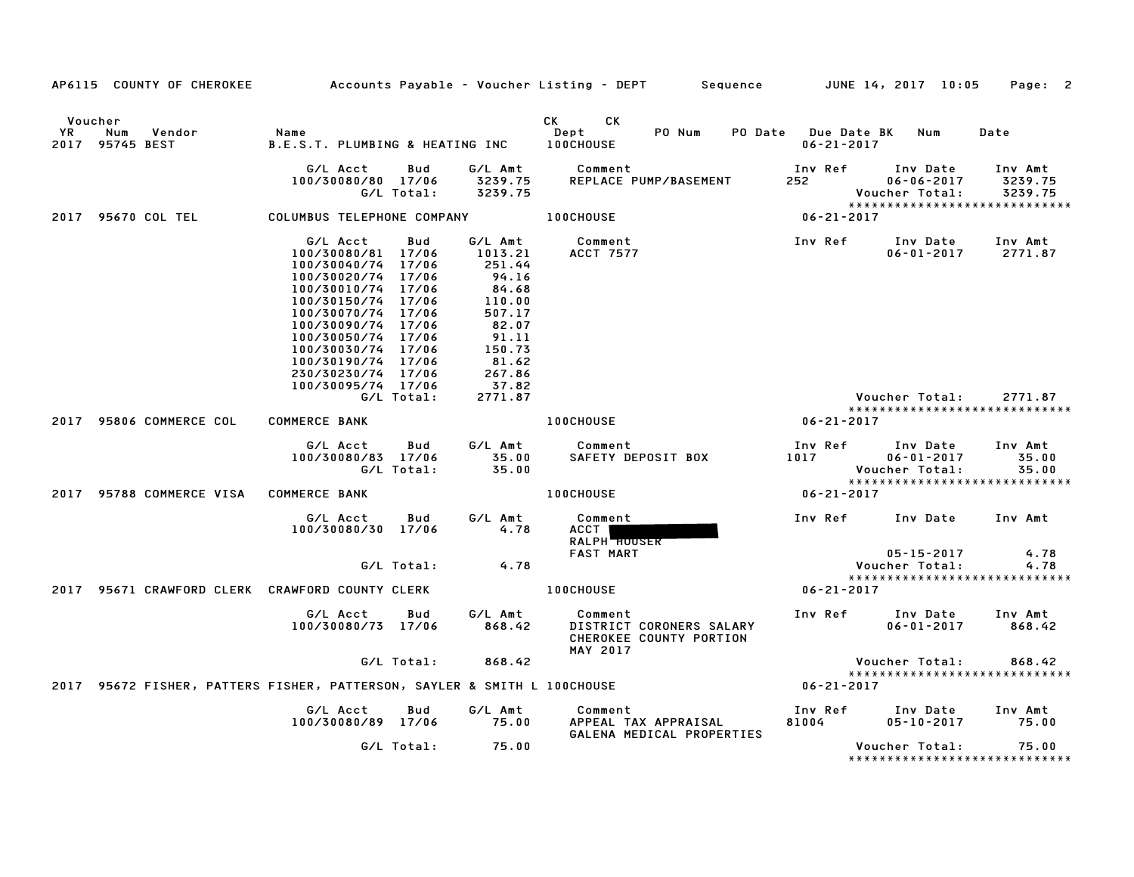|               | AP6115 COUNTY OF CHEROKEE                                                |                                                                                                                                                                                                                                                                      |                                     |                                                                                                                                       | Accounts Payable – Voucher Listing – DEPT         Sequence         JUNE 14, 2017  10:05 |                                        |                                                                                 | Page: 2                       |
|---------------|--------------------------------------------------------------------------|----------------------------------------------------------------------------------------------------------------------------------------------------------------------------------------------------------------------------------------------------------------------|-------------------------------------|---------------------------------------------------------------------------------------------------------------------------------------|-----------------------------------------------------------------------------------------|----------------------------------------|---------------------------------------------------------------------------------|-------------------------------|
| Voucher<br>YR | Num<br>Vendor<br>2017 95745 BEST                                         | Name<br>B.E.S.T. PLUMBING & HEATING INC                                                                                                                                                                                                                              |                                     |                                                                                                                                       | CK<br>CK<br>PO Num<br>PO Date<br>Dept<br><b>100CHOUSE</b>                               | <b>Due Date BK</b><br>$06 - 21 - 2017$ | Num                                                                             | Date                          |
|               |                                                                          | G/L Acct<br>100/30080/80 17/06                                                                                                                                                                                                                                       | Bud<br>G/L Total:                   | G/L Amt<br>3239.75<br>3239.75                                                                                                         | Comment<br>REPLACE PUMP/BASEMENT                                                        | Inv Ref<br>252                         | Inv Date<br>$06 - 06 - 2017$<br>Voucher Total:<br>***************************** | Inv Amt<br>3239.75<br>3239.75 |
|               | 2017 95670 COL TEL                                                       | COLUMBUS TELEPHONE COMPANY                                                                                                                                                                                                                                           |                                     |                                                                                                                                       | <b>100CHOUSE</b>                                                                        | $06 - 21 - 2017$                       |                                                                                 |                               |
|               |                                                                          | G/L Acct<br>100/30080/81<br>100/30040/74<br>100/30020/74 17/06<br>100/30010/74 17/06<br>100/30150/74 17/06<br>100/30070/74 17/06<br>100/30090/74 17/06<br>100/30050/74 17/06<br>100/30030/74 17/06<br>100/30190/74 17/06<br>230/30230/74 17/06<br>100/30095/74 17/06 | Bud<br>17/06<br>17/06<br>G/L Total: | G/L Amt<br>1013.21<br>251.44<br>94.16<br>84.68<br>110.00<br>507.17<br>82.07<br>91.11<br>150.73<br>81.62<br>267.86<br>37.82<br>2771.87 | Comment<br>ACCT 7577                                                                    | Inv Ref                                | Inv Date<br>$06 - 01 - 2017$<br>Voucher Total:                                  | Inv Amt<br>2771.87<br>2771.87 |
|               | 2017 95806 COMMERCE COL                                                  | <b>COMMERCE BANK</b>                                                                                                                                                                                                                                                 |                                     |                                                                                                                                       | 100CHOUSE                                                                               | $06 - 21 - 2017$                       | *****************************                                                   |                               |
|               |                                                                          | G/L Acct<br>100/30080/83 17/06                                                                                                                                                                                                                                       | Bud<br>G/L Total:                   | G/L Amt<br>35.00<br>35.00                                                                                                             | Comment<br>SAFETY DEPOSIT BOX                                                           | Inv Ref<br>1017                        | Inv Date<br>$06 - 01 - 2017$<br>Voucher Total:<br>***************************** | Inv Amt<br>35.00<br>35.00     |
|               | 2017 95788 COMMERCE VISA                                                 | <b>COMMERCE BANK</b>                                                                                                                                                                                                                                                 |                                     |                                                                                                                                       | <b>100CHOUSE</b>                                                                        | $06 - 21 - 2017$                       |                                                                                 |                               |
|               |                                                                          | G/L Acct<br>100/30080/30 17/06                                                                                                                                                                                                                                       | Bud<br>G/L Total:                   | G/L Amt<br>4.78<br>4.78                                                                                                               | Comment<br>ACCT  <br><b>RALPH HOUSER</b><br><b>FAST MART</b>                            | Inv Ref                                | Inv Date<br>$05 - 15 - 2017$<br>Voucher Total:                                  | Inv Amt<br>4.78<br>4.78       |
|               |                                                                          |                                                                                                                                                                                                                                                                      |                                     |                                                                                                                                       |                                                                                         |                                        | *****************************                                                   |                               |
| 2017          | 95671 CRAWFORD CLERK CRAWFORD COUNTY CLERK                               |                                                                                                                                                                                                                                                                      |                                     |                                                                                                                                       | <b>100CHOUSE</b>                                                                        | $06 - 21 - 2017$                       |                                                                                 |                               |
|               |                                                                          | G/L Acct<br>100/30080/73 17/06                                                                                                                                                                                                                                       | Bud                                 | G/L Amt<br>868.42                                                                                                                     | Comment<br>DISTRICT CORONERS SALARY<br>CHEROKEE COUNTY PORTION<br><b>MAY 2017</b>       | Inv Ref                                | Inv Date<br>$06 - 01 - 2017$                                                    | Inv Amt<br>868.42             |
|               |                                                                          |                                                                                                                                                                                                                                                                      | G/L Total:                          | 868.42                                                                                                                                |                                                                                         |                                        | Voucher Total:                                                                  | 868.42                        |
|               | 2017 95672 FISHER, PATTERS FISHER, PATTERSON, SAYLER & SMITH L 100CHOUSE |                                                                                                                                                                                                                                                                      |                                     |                                                                                                                                       |                                                                                         | $06 - 21 - 2017$                       | *****************************                                                   |                               |
|               |                                                                          | G/L Acct<br>100/30080/89 17/06                                                                                                                                                                                                                                       | Bud                                 | G/L Amt<br>75.00                                                                                                                      | Comment<br>APPEAL TAX APPRAISAL<br>GALENA MEDICAL PROPERTIES                            | Inv Ref<br>81004                       | Inv Date<br>$05 - 10 - 2017$                                                    | Inv Amt<br>75.00              |
|               |                                                                          |                                                                                                                                                                                                                                                                      | G/L Total:                          | 75.00                                                                                                                                 |                                                                                         |                                        | Voucher Total:<br>*****************************                                 | 75.00                         |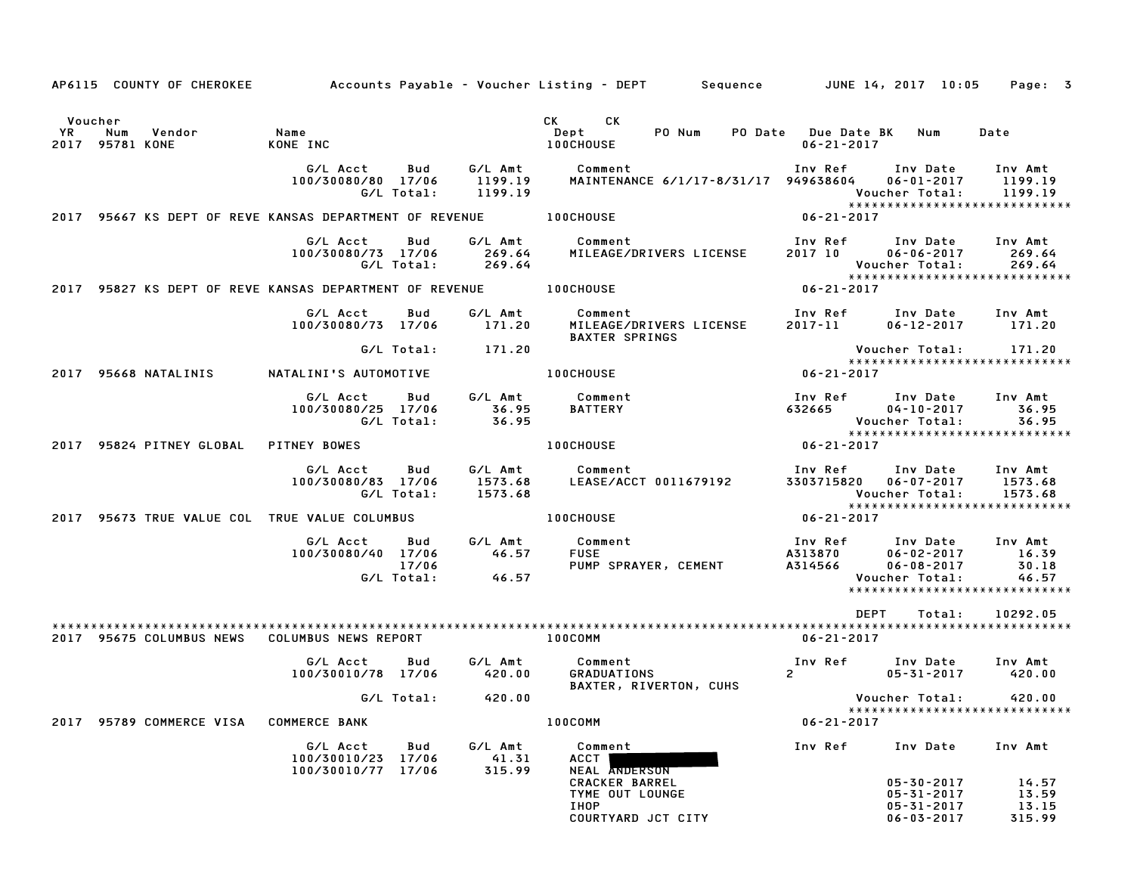|    |                        | AP6115 COUNTY OF CHEROKEE |                                                         |                            |                               | Accounts Payable – Voucher Listing – DEPT       Sequence         JUNE 14, 2017 10:05 |                                             |                                                                                         | Page: 3                                                             |
|----|------------------------|---------------------------|---------------------------------------------------------|----------------------------|-------------------------------|--------------------------------------------------------------------------------------|---------------------------------------------|-----------------------------------------------------------------------------------------|---------------------------------------------------------------------|
|    |                        |                           |                                                         |                            |                               |                                                                                      |                                             |                                                                                         |                                                                     |
|    | Voucher                |                           |                                                         |                            |                               | CK.<br>CK C                                                                          |                                             |                                                                                         |                                                                     |
| YR | Num<br>2017 95781 KONE | Vendor                    | Name<br>KONE INC                                        |                            |                               | Dept<br>PO Num<br>100CHOUSE                                                          | PO Date Due Date BK Num<br>$06 - 21 - 2017$ |                                                                                         | Date                                                                |
|    |                        |                           | G/L Acct<br>100/30080/80 17/06                          | Bud<br>G/L Total:          | 1199.19<br>1199.19            | G/L Amt Comment<br>MAINTENANCE 6/1/17-8/31/17 949638604                              |                                             | Inv Ref Inv Date<br>$06 - 01 - 2017$<br>Voucher Total:                                  | Inv Amt<br>1199.19<br>1199.19<br>*****************************      |
|    |                        |                           | 2017 95667 KS DEPT OF REVE KANSAS DEPARTMENT OF REVENUE |                            |                               | <b>100CHOUSE</b>                                                                     | 06-21-2017                                  |                                                                                         |                                                                     |
|    |                        |                           | G/L Acct<br>100/30080/73 17/06                          | Bud<br>G/L Total:          | G/L Amt<br>269.64<br>269.64   | Comment<br>MILEAGE/DRIVERS LICENSE                                                   | Inv Ref<br>2017 10                          | Inv Date<br>$06 - 06 - 2017$<br>Voucher Total:                                          | Inv Amt<br>269.64<br>269.64<br>*****************************        |
|    |                        |                           | 2017 95827 KS DEPT OF REVE KANSAS DEPARTMENT OF REVENUE |                            |                               | <b>100CHOUSE</b>                                                                     | $06 - 21 - 2017$                            |                                                                                         |                                                                     |
|    |                        |                           | G/L Acct<br>100/30080/73 17/06                          | Bud                        | G/L Amt<br>171.20             | Comment<br>MILEAGE/DRIVERS LICENSE<br><b>BAXTER SPRINGS</b>                          | 2017-11                                     | Inv Ref Inv Date Inv Amt<br>$06 - 12 - 2017$                                            | 171.20                                                              |
|    |                        |                           |                                                         | G/L Total:                 | 171.20                        |                                                                                      |                                             | Voucher Total:                                                                          | 171.20<br>*****************************                             |
|    |                        | 2017 95668 NATALINIS      | NATALINI'S AUTOMOTIVE                                   |                            |                               | <b>100CHOUSE</b>                                                                     | 06-21-2017                                  |                                                                                         |                                                                     |
|    |                        |                           | G/L Acct<br>100/30080/25 17/06                          | Bud<br>G/L Total:          | G/L Amt<br>36.95<br>36.95     | Comment<br><b>BATTERY</b>                                                            | Inv Ref<br>632665                           | Inv Date Inv Amt<br>$04 - 10 - 2017$<br>Voucher Total:                                  | 36.95<br>36.95<br>******************************                    |
|    |                        | 2017 95824 PITNEY GLOBAL  | PITNEY BOWES                                            |                            |                               | <b>100CHOUSE</b>                                                                     | 06-21-2017                                  |                                                                                         |                                                                     |
|    |                        |                           | G/L Acct<br>100/30080/83 17/06                          | Bud<br>G/L Total:          | G/L Amt<br>1573.68<br>1573.68 | Comment<br>LEASE/ACCT 0011679192                                                     | Inv Ref                                     | Inv Date<br>3303715820 06-07-2017<br>Voucher Total:                                     | Inv Amt<br>1573.68<br>1573.68                                       |
|    |                        |                           | 2017 95673 TRUE VALUE COL TRUE VALUE COLUMBUS           |                            |                               | <b>100CHOUSE</b>                                                                     | $06 - 21 - 2017$                            |                                                                                         | *****************************                                       |
|    |                        |                           | G/L Acct<br>100/30080/40 17/06                          | Bud<br>17/06<br>G/L Total: | G/L Amt<br>46.57<br>46.57     | Comment<br><b>FUSE</b><br>PUMP SPRAYER, CEMENT                                       | A314566                                     | Inv Ref      Inv Date<br>A313870       06–02–2017<br>$06 - 08 - 2017$<br>Voucher Total: | Inv Amt<br>16.39<br>30.18<br>46.57<br>***************************** |
|    |                        |                           |                                                         |                            |                               |                                                                                      |                                             | <b>DEPT</b><br>Total:                                                                   | 10292.05                                                            |
|    |                        | 2017 95675 COLUMBUS NEWS  | COLUMBUS NEWS REPORT                                    |                            |                               | 100COMM                                                                              | 06-21-2017                                  |                                                                                         |                                                                     |
|    |                        |                           | G/L Acct<br>100/30010/78 17/06                          | Bud                        | G/L Amt<br>420.00             | Comment<br><b>GRADUATIONS</b><br>BAXTER, RIVERTON, CUHS                              | $2^{\circ}$                                 | Inv Ref Inv Date<br>$05 - 31 - 2017$                                                    | Inv Amt<br>420.00                                                   |
|    |                        |                           |                                                         |                            | G/L Total:       420.00       |                                                                                      |                                             | Voucher Total:                                                                          | 420.00<br>*****************************                             |
|    |                        | 2017 95789 COMMERCE VISA  | <b>COMMERCE BANK</b>                                    |                            |                               | 100COMM                                                                              | $06 - 21 - 2017$                            |                                                                                         |                                                                     |
|    |                        |                           | G/L Acct<br>100/30010/23 17/06<br>100/30010/77 17/06    | Bud                        | G/L Amt<br>41.31<br>315.99    | Comment<br>ACCT  <br><b>NEAL ANDERSON</b>                                            | Inv Ref                                     | Inv Date                                                                                | Inv Amt                                                             |
|    |                        |                           |                                                         |                            |                               | <b>CRACKER BARREL</b><br>TYME OUT LOUNGE                                             |                                             | 05-30-2017<br>$05 - 31 - 2017$                                                          | 14.57<br>13.59                                                      |
|    |                        |                           |                                                         |                            |                               | IHOP<br>COURTYARD JCT CITY                                                           |                                             | 05-31-2017<br>$06 - 03 - 2017$                                                          | 13.15<br>315.99                                                     |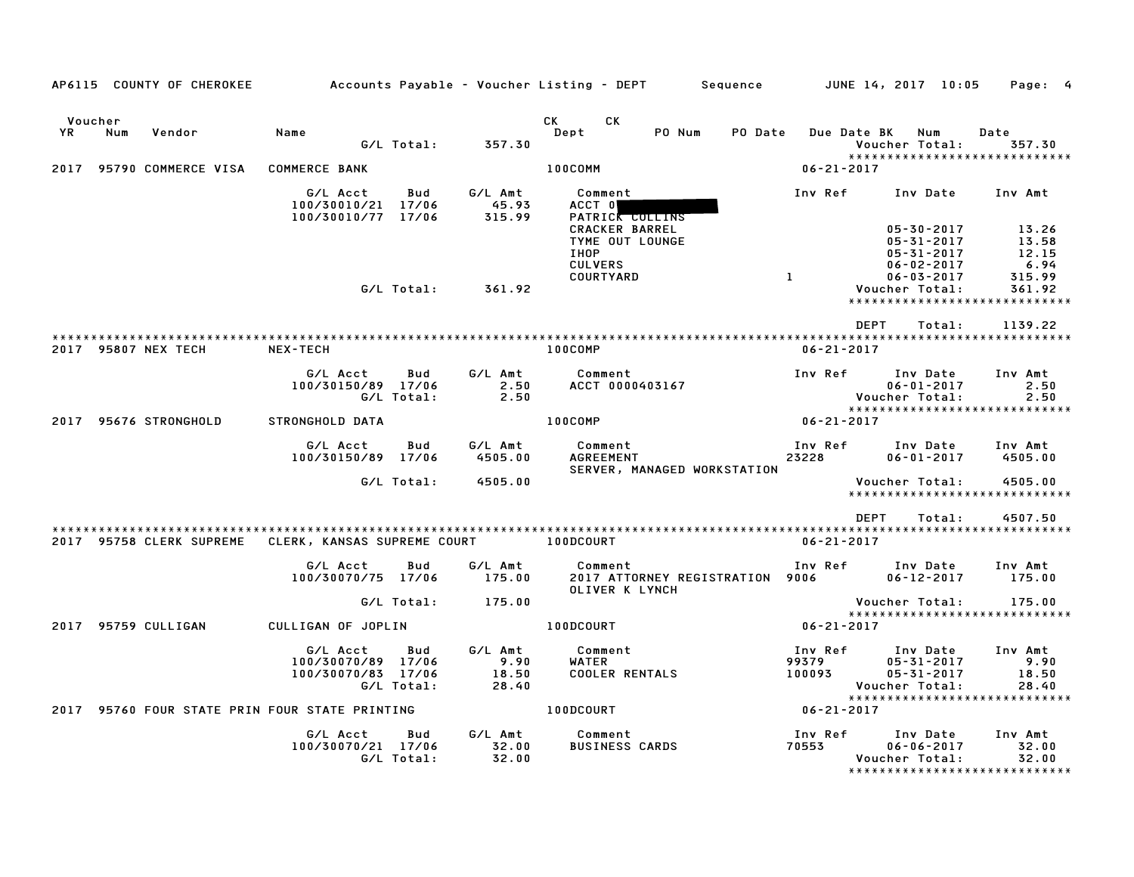|      |                | AP6115 COUNTY OF CHEROKEE |                                                      |                   |                                   | Accounts Payable – Voucher Listing – DEPT         Sequence         JUNE 14, 2017  10:05         |                            |                                                                                               | Page: 4                            |
|------|----------------|---------------------------|------------------------------------------------------|-------------------|-----------------------------------|-------------------------------------------------------------------------------------------------|----------------------------|-----------------------------------------------------------------------------------------------|------------------------------------|
| YR   | Voucher<br>Num | Vendor                    | Name                                                 | G/L Total:        | 357.30                            | CK C<br>CK<br>PO Num<br>Dept                                                                    | <b>PO Date</b>             | <b>Due Date BK</b><br>Num<br>Voucher Total:                                                   | Date<br>357.30                     |
| 2017 |                | 95790 COMMERCE VISA       | <b>COMMERCE BANK</b>                                 |                   |                                   | 100COMM                                                                                         | $06 - 21 - 2017$           | *****************************                                                                 |                                    |
|      |                |                           | G/L Acct<br>100/30010/21 17/06<br>100/30010/77 17/06 | Bud               | G/L Amt<br>45.93<br>315.99        | Comment<br>ACCT 0<br>PATRICK COLLINS<br><b>CRACKER BARREL</b><br>TYME OUT LOUNGE<br><b>IHOP</b> | Inv Ref                    | Inv Date<br>$05 - 30 - 2017$<br>05-31-2017<br>$05 - 31 - 2017$                                | Inv Amt<br>13.26<br>13.58<br>12.15 |
|      |                |                           |                                                      | G/L Total:        | 361.92                            | <b>CULVERS</b><br>COURTYARD                                                                     | $\mathbf{1}$               | $06 - 02 - 2017$<br>$06 - 03 - 2017$<br>Voucher Total:<br>*****************************       | 6.94<br>315.99<br>361.92           |
|      |                |                           |                                                      |                   |                                   |                                                                                                 |                            | DEPT<br>Total:                                                                                | 1139.22                            |
|      |                | 2017 95807 NEX TECH       | <b>NEX-TECH</b>                                      |                   |                                   | 100COMP                                                                                         | $06 - 21 - 2017$           |                                                                                               |                                    |
|      |                |                           | G/L Acct<br>100/30150/89 17/06                       | Bud<br>G/L Total: | G/L Amt<br>2.50<br>2.50           | Comment<br>ACCT 0000403167                                                                      | Inv Ref                    | Inv Date<br>$06 - 01 - 2017$<br>Voucher Total:<br>*****************************               | Inv Amt<br>2.50<br>2.50            |
|      |                | 2017 95676 STRONGHOLD     | STRONGHOLD DATA                                      |                   |                                   | 100COMP                                                                                         | $06 - 21 - 2017$           |                                                                                               |                                    |
|      |                |                           | G/L Acct<br>100/30150/89 17/06                       | Bud<br>G/L Total: | G/L Amt<br>4505.00<br>4505.00     | Comment<br><b>AGREEMENT</b><br>SERVER, MANAGED WORKSTATION                                      | 23228                      | Inv Ref      Inv Date<br>$06 - 01 - 2017$<br>Voucher Total:                                   | Inv Amt<br>4505.00<br>4505.00      |
|      |                |                           |                                                      |                   |                                   |                                                                                                 |                            | *****************************                                                                 |                                    |
|      |                |                           |                                                      |                   |                                   |                                                                                                 |                            | DEPT<br>Total:                                                                                | 4507.50                            |
|      |                | 2017 95758 CLERK SUPREME  | CLERK, KANSAS SUPREME COURT                          |                   |                                   | 100DCOURT                                                                                       | $06 - 21 - 2017$           |                                                                                               |                                    |
|      |                |                           | G/L Acct<br>100/30070/75 17/06                       | Bud               | G/L Amt<br>175.00                 | Comment<br>2017 ATTORNEY REGISTRATION 9006<br>OLIVER K LYNCH                                    | Inv Ref                    | Inv Date<br>$06 - 12 - 2017$                                                                  | Inv Amt<br>175.00                  |
|      |                |                           |                                                      | G/L Total:        | 175.00                            |                                                                                                 |                            | Voucher Total:<br>******************************                                              | 175.00                             |
|      |                | 2017 95759 CULLIGAN       | CULLIGAN OF JOPLIN                                   |                   |                                   | 100DCOURT                                                                                       | $06 - 21 - 2017$           |                                                                                               |                                    |
|      |                |                           | G/L Acct<br>100/30070/89 17/06<br>100/30070/83 17/06 | Bud<br>G/L Total: | G/L Amt<br>9.90<br>18.50<br>28.40 | Comment<br>WATER<br><b>COOLER RENTALS</b>                                                       | Inv Ref<br>99379<br>100093 | Inv Date<br>$05 - 31 - 2017$<br>05-31-2017<br>Voucher Total:<br>***************************** | Inv Amt<br>9.90<br>18.50<br>28.40  |
|      |                |                           | 2017 95760 FOUR STATE PRIN FOUR STATE PRINTING       |                   |                                   | 100DCOURT                                                                                       | $06 - 21 - 2017$           |                                                                                               |                                    |
|      |                |                           | G/L Acct<br>100/30070/21 17/06                       | Bud<br>G/L Total: | G/L Amt<br>32.00<br>32.00         | Comment<br><b>BUSINESS CARDS</b>                                                                | Inv Ref<br>70553           | Inv Date<br>$06 - 06 - 2017$<br>Voucher Total:<br>*****************************               | Inv Amt<br>32.00<br>32.00          |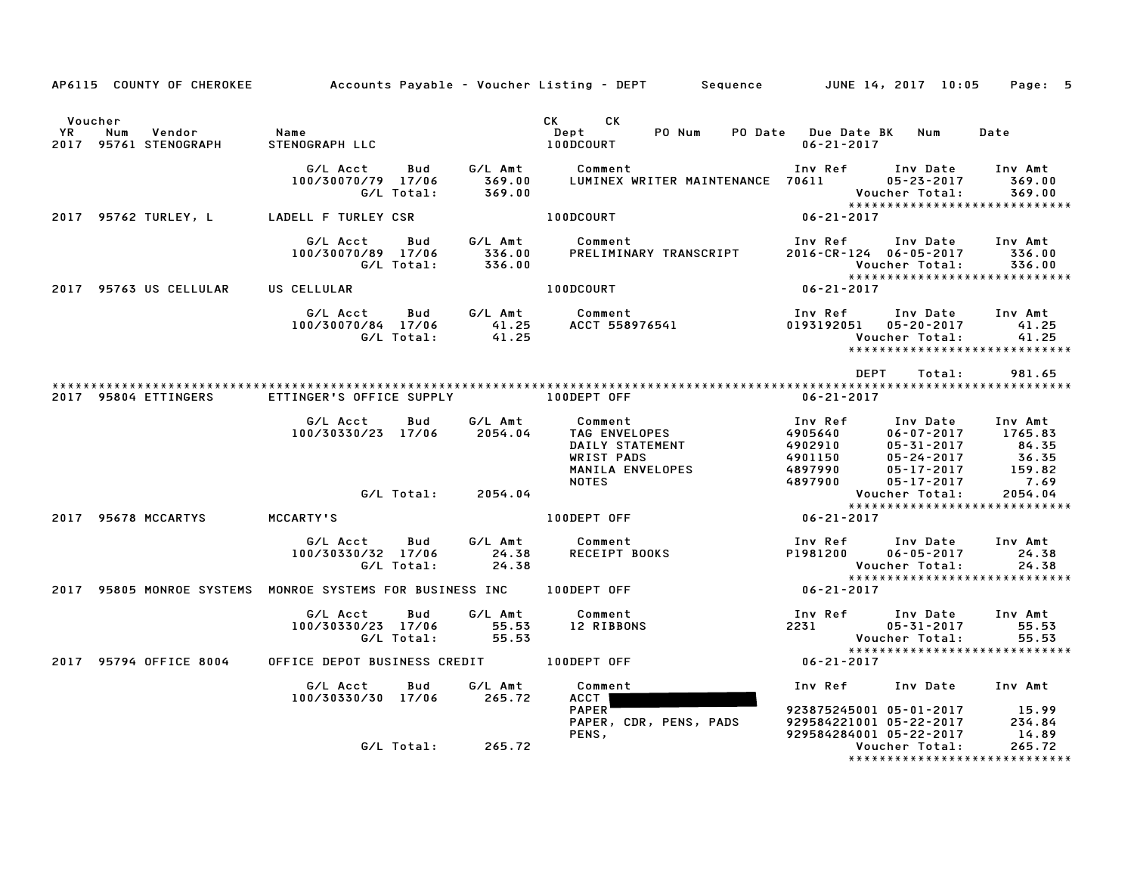|                                                                       |                                                     |                           | AP6115 COUNTY OF CHEROKEE Accounts Payable - Voucher Listing - DEPT Sequence JUNE 14, 2017 10:05 Page: 5                                                 |                                                                                                      |                                                                                                                                                                        |                                                             |
|-----------------------------------------------------------------------|-----------------------------------------------------|---------------------------|----------------------------------------------------------------------------------------------------------------------------------------------------------|------------------------------------------------------------------------------------------------------|------------------------------------------------------------------------------------------------------------------------------------------------------------------------|-------------------------------------------------------------|
| Voucher<br><b>YR</b><br>Num<br>Vendor<br>2017 95761 STENOGRAPH        | Name<br>STENOGRAPH LLC                              |                           | CK CK<br>Dept<br>PO Num<br>100DCOURT                                                                                                                     | PO Date Due Date BK Num<br>$06 - 21 - 2017$                                                          |                                                                                                                                                                        | Date                                                        |
|                                                                       | G/L Acct<br>100/30070/79 17/06 369.00<br>G/L Total: | 369.00                    | Bud G/L Amt Comment                                                                                                                                      |                                                                                                      | Voucher Total:                                                                                                                                                         | 369.00<br>369.00                                            |
| 2017 95762 TURLEY, L LADELL F TURLEY CSR                              |                                                     |                           | 100DCOURT                                                                                                                                                | $06 - 21 - 2017$                                                                                     |                                                                                                                                                                        |                                                             |
|                                                                       | G/L Acct<br>100/30070/89 17/06<br>G/L Total:        | 336.00<br>336.00          | Bud G/L Amt Comment<br>PRELIMINARY TRANSCRIPT                                                                                                            | Inv Ref<br>2016-CR-124 06-05-2017                                                                    | Inv Date Inv Amt<br>Voucher Total:                                                                                                                                     | 336.00<br>336.00                                            |
| 2017 95763 US CELLULAR                                                | US CELLULAR                                         |                           | 100DCOURT                                                                                                                                                | $06 - 21 - 2017$                                                                                     |                                                                                                                                                                        | *****************************                               |
|                                                                       | G/L Acct<br>100/30070/84 17/06<br>G/L Total:        | 41.25<br>41.25            | Bud G/LAmt Comment<br>COMMENTS<br>ACCT 558976541                                                                                                         | Inv Ref      Inv Date     Inv Amt<br>0193192051 05-20-2017                                           | Voucher Total:                                                                                                                                                         | 41.25<br>41.25                                              |
|                                                                       |                                                     |                           |                                                                                                                                                          | DEPT                                                                                                 | Total:                                                                                                                                                                 | 981.65                                                      |
| 2017 95804 ETTINGERS                                                  | ETTINGER'S OFFICE SUPPLY THE RODEPT OFF             |                           |                                                                                                                                                          | 06-21-2017                                                                                           |                                                                                                                                                                        |                                                             |
|                                                                       | G/L Acct<br>Bud<br>100/30330/23 17/06 2054.04       | G∕L Amt                   | Comment<br>TAG ENVELOPES<br>TAG ENVELOPES<br>DAILY STATEMENT<br>WRIST PADS<br>MANILA ENVELOPES<br>MANILA ENVELOPES<br>4901150<br>4897990<br><b>NOTES</b> | Inv Ref     Inv Date    Inv Amt<br>4897900                                                           | $06 - 07 - 2017$ 1765.83<br>$05 - 31 - 2017$<br>$05 - 24 - 2017$<br>$05 - 17 - 2017$<br>$05 - 17 - 2017$<br>$05 - 17 - 2017$<br>05-17-2017<br>กร-17-2017<br>05-17-2017 | 159.82<br>7.69                                              |
|                                                                       | G/L Total: 2054.04                                  |                           |                                                                                                                                                          |                                                                                                      | Voucher Total:                                                                                                                                                         | 2054.04                                                     |
| 2017 95678 MCCARTYS                                                   | MCCARTY'S                                           |                           | 100DEPT OFF                                                                                                                                              | $06 - 21 - 2017$                                                                                     |                                                                                                                                                                        |                                                             |
|                                                                       | G/L Acct<br>Bud<br>100/30330/32 17/06<br>G/L Total: | G/L Amt<br>24.38<br>24.38 | Comment<br>Comment<br>RECEIPT BOOKS                                                                                                                      | Inv Ref      Inv Date<br>P1981200                                                                    | $06 - 05 - 2017$<br>Voucher Total:                                                                                                                                     | Inv Amt<br>24.38<br>24.38<br>****************************** |
| 2017 95805 MONROE SYSTEMS MONROE SYSTEMS FOR BUSINESS INC 100DEPT OFF |                                                     |                           |                                                                                                                                                          | $06 - 21 - 2017$                                                                                     |                                                                                                                                                                        |                                                             |
|                                                                       | G/L Acct<br>Bud                                     | G/L Amt                   | Comment<br>100/30330/23 17/06 55.53 12 RIBBONS<br>G/L Total: 55.53 12 RIBBONS                                                                            | Inv Ref Inv Date<br>2231 05-31-2017                                                                  | Voucher Total:                                                                                                                                                         | Inv Amt<br>55.53<br>55.53                                   |
| 2017 95794 OFFICE 8004                                                |                                                     |                           |                                                                                                                                                          | $06 - 21 - 2017$                                                                                     |                                                                                                                                                                        |                                                             |
|                                                                       | G/L Acct<br>100/30330/30 17/06 265.72               | Bud G/LAmt                | Comment<br>ACCT  <br><b>PAPER</b><br>PAPER, CDR, PENS, PADS                                                                                              | Inv Ref      Inv Date     Inv Amt<br>923875245001 05-01-2017 15.99<br>929584221001 05-22-2017 234.84 |                                                                                                                                                                        |                                                             |
|                                                                       | G/L Total:                                          | 265.72                    | PENS,                                                                                                                                                    | 929584284001 05-22-2017                                                                              | Voucher Total:                                                                                                                                                         | 14.89<br>265.72<br>*****************************            |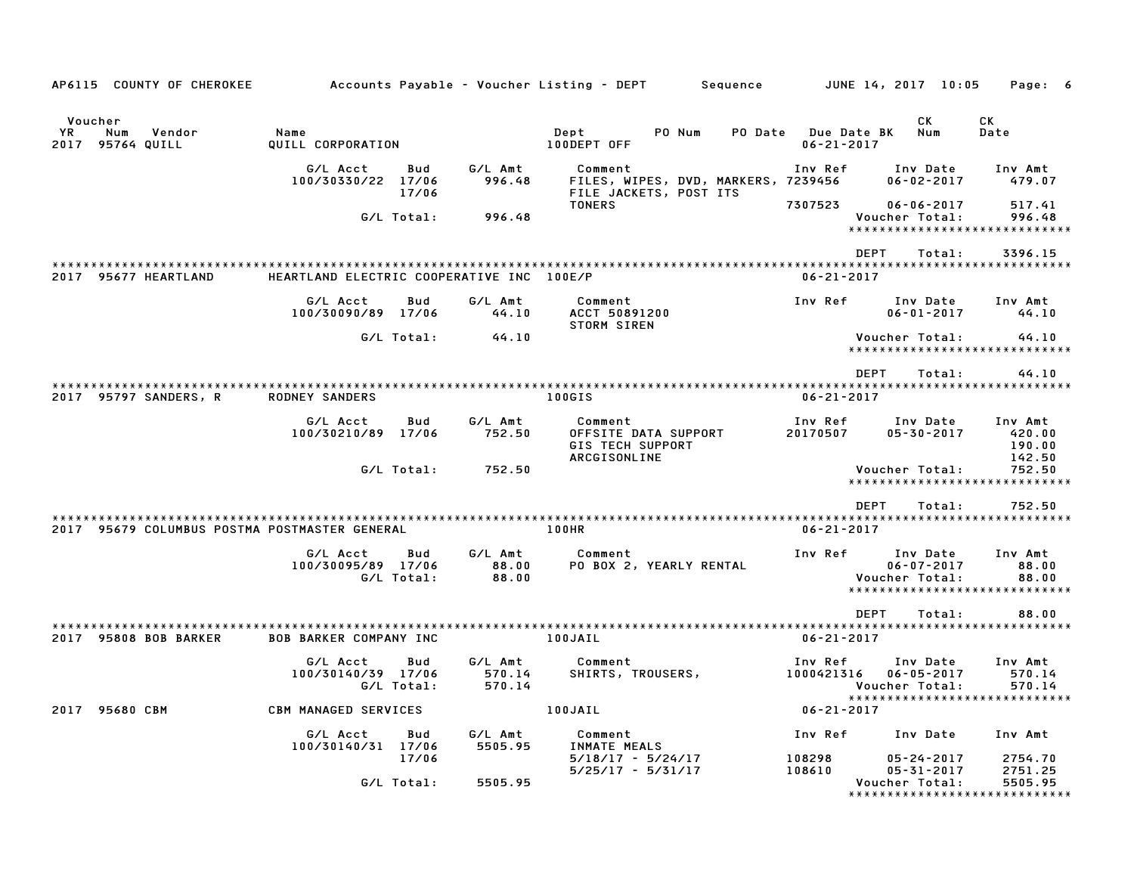| AP6115 COUNTY OF CHEROKEE                              |                                              |              |                             | Accounts Payable – Voucher Listing – DEPT                                  | Sequence |                                 | JUNE 14, 2017 10:05                                    | Page: 6                                                        |
|--------------------------------------------------------|----------------------------------------------|--------------|-----------------------------|----------------------------------------------------------------------------|----------|---------------------------------|--------------------------------------------------------|----------------------------------------------------------------|
| Voucher<br>YR.<br>Num<br>Vendor<br>95764 QUILL<br>2017 | Name<br>QUILL CORPORATION                    |              |                             | Dept<br>PO Num<br>100DEPT OFF                                              | PO Date  | Due Date BK<br>$06 - 21 - 2017$ | СK<br>Num                                              | CK<br>Date                                                     |
|                                                        | G/L Acct<br>100/30330/22 17/06               | Bud<br>17/06 | G/L Amt<br>996.48           | Comment<br>FILES, WIPES, DVD, MARKERS, 7239456<br>FILE JACKETS, POST ITS   |          | Inv Ref                         | Inv Date<br>$06 - 02 - 2017$                           | Inv Amt<br>479.07                                              |
|                                                        | G/L Total:                                   |              | 996.48                      | <b>TONERS</b>                                                              |          | 7307523                         | $06 - 06 - 2017$<br>Voucher Total:                     | 517.41<br>996.48<br>*****************************              |
|                                                        |                                              |              |                             |                                                                            |          | <b>DEPT</b>                     | Total:                                                 | 3396.15                                                        |
| 2017 95677 HEARTLAND                                   | HEARTLAND ELECTRIC COOPERATIVE INC 100E/P    |              |                             |                                                                            |          | $06 - 21 - 2017$                |                                                        |                                                                |
|                                                        | G/L Acct<br>100/30090/89 17/06               | Bud          | G/L Amt<br>44.10            | Comment<br>ACCT 50891200                                                   |          | Inv Ref                         | Inv Date<br>$06 - 01 - 2017$                           | Inv Amt<br>44.10                                               |
|                                                        |                                              | G/L Total:   | 44.10                       | STORM SIREN                                                                |          |                                 | Voucher Total:                                         | 44.10<br>*****************************                         |
|                                                        |                                              |              |                             |                                                                            |          | <b>DFPT</b>                     | Total:                                                 | 44.10                                                          |
| 2017 95797 SANDERS, R                                  | <b>RODNEY SANDERS</b>                        |              |                             | 100GIS                                                                     |          | $06 - 21 - 2017$                |                                                        |                                                                |
|                                                        | G/L Acct<br>100/30210/89 17/06               | Bud          | G/L Amt<br>752.50           | Comment<br>OFFSITE DATA SUPPORT<br><b>GIS TECH SUPPORT</b><br>ARCGISONLINE |          | Inv Ref<br>20170507             | Inv Date<br>$05 - 30 - 2017$                           | Inv Amt<br>420.00<br>190.00<br>142.50                          |
|                                                        | G/L Total:                                   |              | 752.50                      |                                                                            |          |                                 | Voucher Total:                                         | 752.50<br>*****************************                        |
|                                                        |                                              |              |                             |                                                                            |          | <b>DEPT</b>                     | Total:                                                 | 752.50                                                         |
| 2017 95679 COLUMBUS POSTMA POSTMASTER GENERAL          |                                              |              |                             | 100HR                                                                      |          | $06 - 21 - 2017$                |                                                        |                                                                |
|                                                        | G/L Acct<br>100/30095/89 17/06<br>G/L Total: | Bud          | G/L Amt<br>88.00<br>88.00   | Comment<br>PO BOX 2, YEARLY RENTAL                                         |          | Inv Ref                         | Inv Date<br>$06 - 07 - 2017$<br>Voucher Total:         | Inv Amt<br>88.00<br>88.00<br>*****************************     |
|                                                        |                                              |              |                             |                                                                            |          | <b>DEPT</b>                     | Total:                                                 | 88.00                                                          |
| 2017 95808 BOB BARKER                                  | <b>BOB BARKER COMPANY INC</b>                |              |                             | 100JAIL                                                                    |          | $06 - 21 - 2017$                |                                                        |                                                                |
|                                                        | G/L Acct<br>100/30140/39 17/06<br>G/L Total: | Bud          | G/L Amt<br>570.14<br>570.14 | Comment<br>SHIRTS, TROUSERS,                                               |          | Inv Ref<br>1000421316           | Inv Date<br>$06 - 05 - 2017$<br>Voucher Total:         | Inv Amt<br>570.14<br>570.14                                    |
| 2017 95680 CBM                                         | <b>CBM MANAGED SERVICES</b>                  |              |                             | 100JAIL                                                                    |          | $06 - 21 - 2017$                |                                                        | *****************************                                  |
|                                                        | G/L Acct<br>100/30140/31 17/06               | Bud          | G/L Amt<br>5505.95          | Comment<br><b>INMATE MEALS</b>                                             |          | Inv Ref                         | Inv Date                                               | Inv Amt                                                        |
|                                                        | G/L Total:                                   | 17/06        | 5505.95                     | $5/18/17 - 5/24/17$<br>$5/25/17 - 5/31/17$                                 |          | 108298<br>108610                | $05 - 24 - 2017$<br>$05 - 31 - 2017$<br>Voucher Total: | 2754.70<br>2751.25<br>5505.95<br>***************************** |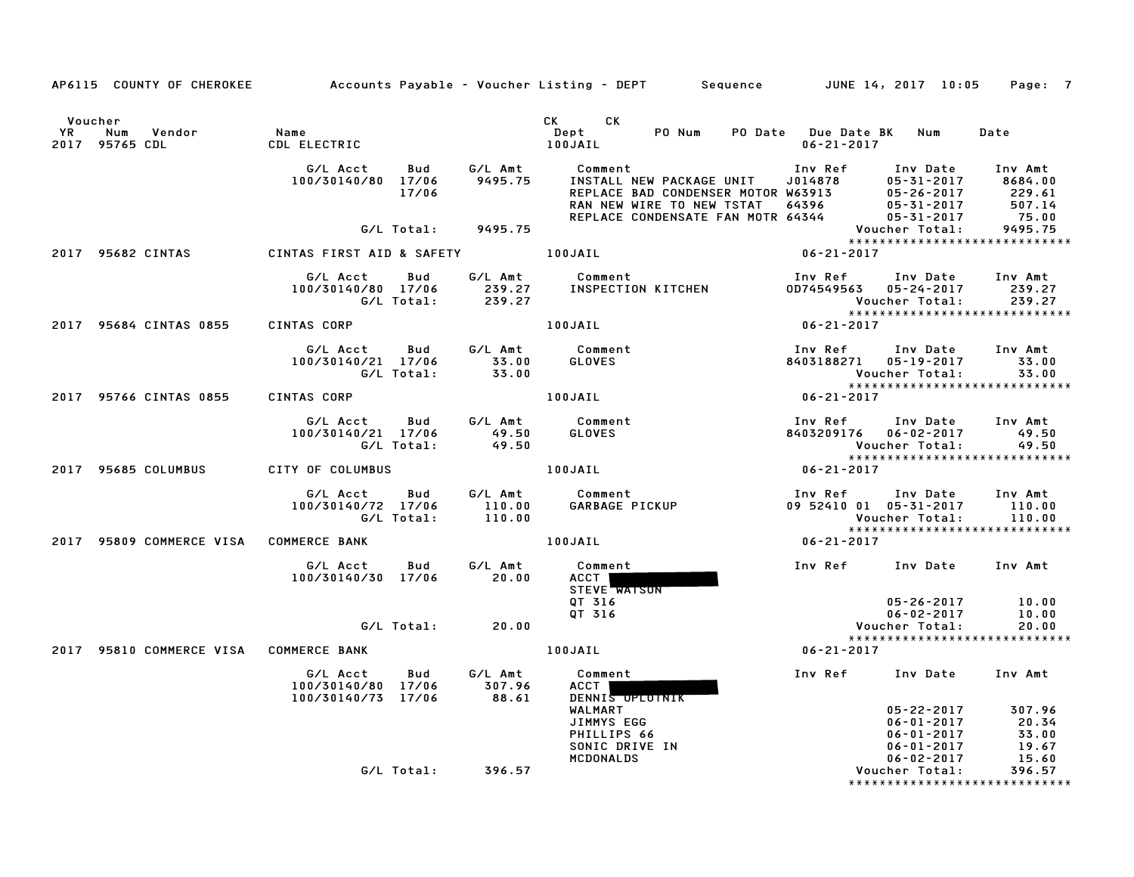|                                                                               |                                                                  |                                   | AP6115 COUNTY OF CHEROKEE Accounts Payable - Voucher Listing - DEPT Sequence JUNE 14, 2017 10:05 Page: 7                                                                                                                       |                                                                                                 |                                        |
|-------------------------------------------------------------------------------|------------------------------------------------------------------|-----------------------------------|--------------------------------------------------------------------------------------------------------------------------------------------------------------------------------------------------------------------------------|-------------------------------------------------------------------------------------------------|----------------------------------------|
| Voucher<br>YR<br>Num Vendor<br>2017 95765 CDL                                 | Name<br>CDL ELECTRIC                                             |                                   | CK CK<br>Dept<br>100JAIL                                                                                                                                                                                                       | PO Num PO Date Due Date BK Num<br>$06 - 21 - 2017$                                              | Date                                   |
|                                                                               | G/L Acct<br>100/30140/80 17/06<br>17/06                          | Bud<br>G/L Amt<br>9495.75         | Comment<br><b>INSTALL NEW PACKAGE UNIT</b><br>REPLACE BAD CONDENSER MOTOR W63913<br>RAN NEW WIRE TO NEW TSTAT 64396 05-31-2017<br>REPLACE CONDENSATE FAN MOTR 64344 05-31-2017<br>REPLACE CONDENSATE FAN MOTR 64344 05-31-2017 | Inv Ref Inv Date<br>05-31-2017                                                                  | Inv Amt<br>8684.00<br>229.61<br>507.14 |
|                                                                               |                                                                  | G/L Total: 9495.75                |                                                                                                                                                                                                                                | Voucher Total:                                                                                  | 75.00<br>9495.75                       |
| 2017 95682 CINTAS             CINTAS FIRST AID & SAFETY               100JAIL |                                                                  |                                   |                                                                                                                                                                                                                                | $06 - 21 - 2017$                                                                                |                                        |
|                                                                               | G/L Acct<br>100/30140/80 17/06 239.27<br>G/L Total: 239.27       | G/L Amt<br>Bud                    | Comment<br>INSPECTION KITCHEN                                                                                                                                                                                                  | Inv Ref      Inv Date     Inv Amt<br>0D74549563 05-24-2017<br>Voucher Total:                    | 239.27<br>239.27                       |
| 2017 95684 CINTAS 0855                                                        | CINTAS CORP                                                      |                                   | 100JAIL                                                                                                                                                                                                                        | *****************************<br>$06 - 21 - 2017$                                               |                                        |
|                                                                               | G/L Acct Bud G/L Amt Comment<br>100/30140/21 17/06<br>G/L Total: | $33.00$<br>$33.00$                | GLOVES                                                                                                                                                                                                                         | Inv Ref      Inv Date     Inv Amt<br>8403188271 05-19-2017<br>Voucher Total:                    | 33.00<br>33.00                         |
| 2017 95766 CINTAS 0855                                                        | CINTAS CORP                                                      |                                   | 100JAIL                                                                                                                                                                                                                        | $06 - 21 - 2017$                                                                                |                                        |
|                                                                               | G/L Acct Bud<br>100/30140/21 17/06<br>G/L Total:                 | G/L Amt<br>49.50<br>49.50         | Comment<br>GLOVES<br>GLOVES                                                                                                                                                                                                    | Inv Ref<br>Inv Date<br>8403209176 06-02-2017<br>Voucher Total:<br>***************************** | Inv Amt<br>49.50<br>49.50              |
| 2017 95685 COLUMBUS                                                           | CITY OF COLUMBUS                                                 |                                   | 100JAIL                                                                                                                                                                                                                        | $06 - 21 - 2017$                                                                                |                                        |
|                                                                               | G/L Acct Bud G/L Amt<br>100/30140/72 17/06<br>G/L Total:         | $110.00$<br>$110.00$              | Comment<br>Comment<br>GARBAGE PICKUP                                                                                                                                                                                           | Inv Ref      Inv Date     Inv Amt<br>09 52410 01 05-31-2017<br>Voucher Total:                   | 110.00<br>110.00                       |
| 2017 95809 COMMERCE VISA COMMERCE BANK                                        |                                                                  |                                   | 100JAIL                                                                                                                                                                                                                        | *****************************<br>$06 - 21 - 2017$                                               |                                        |
|                                                                               | G/L Acct<br>100/30140/30 17/06                                   | G/L Amt<br>Bud<br>20.00           | Comment<br>ACCT  <br>STEVE WATSON                                                                                                                                                                                              | Inv Ref Inv Date Inv Amt                                                                        |                                        |
|                                                                               |                                                                  | $G/L$ Total: $20.00$              | OT 316<br>OT 316                                                                                                                                                                                                               | 05-26-2017<br>$06 - 02 - 2017$<br>Voucher Total:<br>*****************************               | 10.00<br>10.00<br>20.00                |
| 2017 95810 COMMERCE VISA COMMERCE BANK                                        |                                                                  |                                   | 100JAIL                                                                                                                                                                                                                        | 06-21-2017                                                                                      |                                        |
|                                                                               | G/L Acct<br>100/30140/80 17/06<br>100/30140/73 17/06             | G/L Amt<br>Bud<br>307.96<br>88.61 | Comment<br>ACCT I<br>DENNIS OPLOTNIK<br>WALMART                                                                                                                                                                                | Inv Ref Inv Date<br>05-22-2017                                                                  | Inv Amt<br>307.96                      |
|                                                                               |                                                                  |                                   | JIMMYS EGG<br>PHILLIPS 66<br>SONIC DRIVE IN<br>MCDONALDS                                                                                                                                                                       | 06-01-2017<br>$06 - 01 - 2017$<br>06-01-2017<br>$06 - 02 - 2017$                                | 20.34<br>33.00<br>19.67<br>15.60       |
|                                                                               |                                                                  | G/L Total: 396.57                 |                                                                                                                                                                                                                                | Voucher Total:<br>*****************************                                                 | 396.57                                 |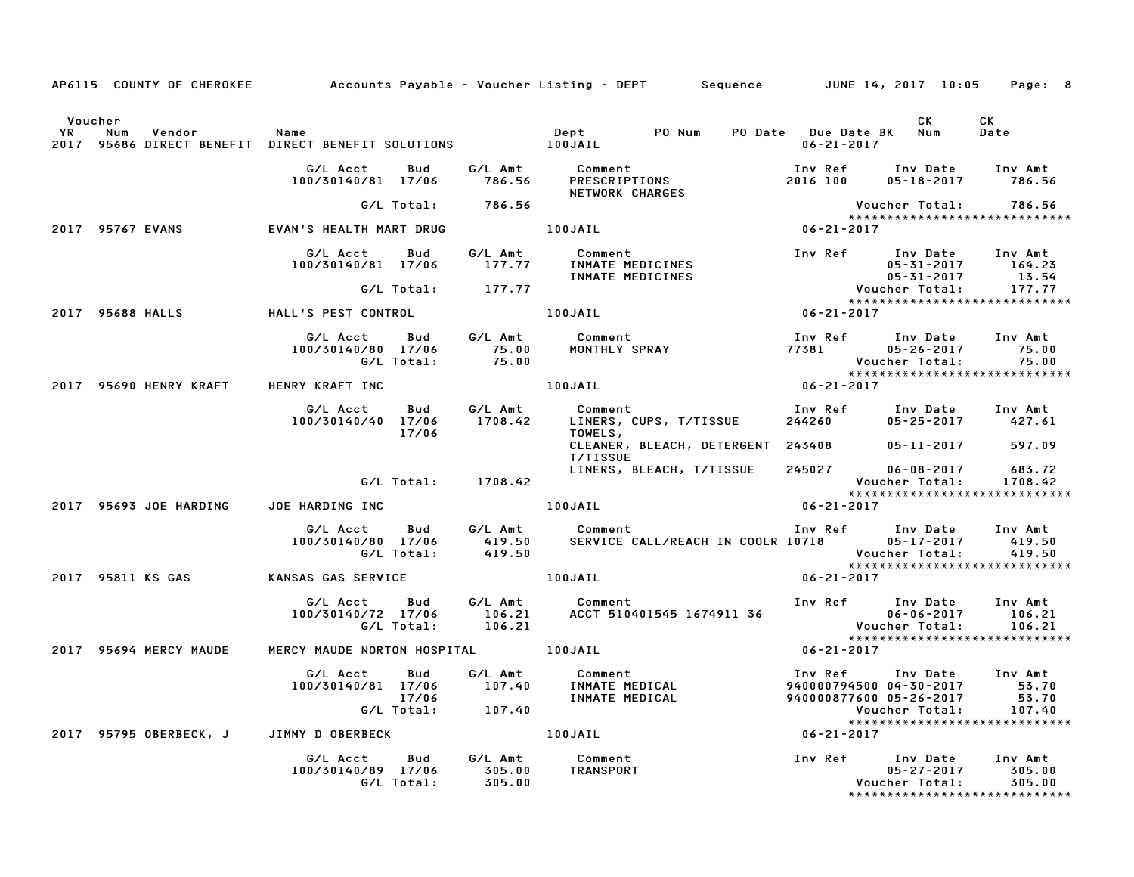|         |                                                    |                                     |                    | AP6115 COUNTY OF CHEROKEE Accounts Payable - Voucher Listing - DEPT Sequence JUNE 14, 2017 10:05 Page: 8                                                                                                                                |                                                                                       |                                                       |
|---------|----------------------------------------------------|-------------------------------------|--------------------|-----------------------------------------------------------------------------------------------------------------------------------------------------------------------------------------------------------------------------------------|---------------------------------------------------------------------------------------|-------------------------------------------------------|
| Voucher |                                                    |                                     |                    |                                                                                                                                                                                                                                         | CK<br>PO Date Due Date BK Num<br>06-21-2017                                           | CK<br>Date                                            |
|         |                                                    |                                     |                    | 6/L Acct Bud G/L Amt Comment Inv Ref Inv Date Inv Amt<br>100/30140/81 17/06 786.56 PRESCRIPTIONS 2016 100 05-18-2017 786.56<br>100/30140/81 17/16 786.56 NETWORK CHARGES                                                                |                                                                                       |                                                       |
|         |                                                    |                                     | G/L Total: 786.56  |                                                                                                                                                                                                                                         | Voucher Total: 786.56<br>****************************                                 |                                                       |
|         |                                                    |                                     |                    | 2017 95767 EVANS EVAN'S HEALTH MART DRUG 100JAIL 100JAIL 100JAIL 06-21-2017                                                                                                                                                             |                                                                                       |                                                       |
|         |                                                    |                                     |                    | 6/L Acct Bud G/L Amt Comment Inv Ref Inv Date Inv Amt<br>100/30140/81 17/06 177.77 INMATE MEDICINES 05-31-2017 164.23<br>6/L Total: 177.77 INMATE MEDICINES 05-31-2017 13.54<br>LL'S PEST CONTROL 100JAIL 100JAIL 06-21-2017            |                                                                                       |                                                       |
|         |                                                    |                                     |                    |                                                                                                                                                                                                                                         |                                                                                       |                                                       |
|         | 2017 95688 HALLS               HALL'S PEST CONTROL |                                     |                    |                                                                                                                                                                                                                                         |                                                                                       |                                                       |
|         |                                                    |                                     |                    | 6/LAcct Bud G/LAmt Comment Inv Ref Inv Date Inv Amt<br>100/30140/80 17/06 75.00 MONTHLY SPRAY 77381 05-26-2017 75.00<br>6/LTotal: 75.00 100JAIL 100JAIL 106-21-2017<br>ENRY KRAFTINC 100JAIL 100JAIL 06-21-2017                         |                                                                                       |                                                       |
|         | 2017 95690 HENRY KRAFT HENRY KRAFT INC             |                                     |                    |                                                                                                                                                                                                                                         |                                                                                       |                                                       |
|         |                                                    |                                     | 17/06              | G/L Acct   Bud    G/L Amt       Comment                          Inv Ref    Inv Date   Inv Amt<br>100/30140/40   17/06     1708.42     LINERS, CUPS, T/TISSUE       244260           05–25–2017       427.61<br>17/06<br>TOWELS,        |                                                                                       |                                                       |
|         |                                                    |                                     |                    | CLEANER, BLEACH, DETERGENT 243408 05-11-2017 597.09<br>T/TISSUE <b>Anticate State</b>                                                                                                                                                   |                                                                                       |                                                       |
|         |                                                    |                                     | G/L Total: 1708.42 | LINERS, BLEACH, T/TISSUE 245027                                                                                                                                                                                                         | 245027 06-08-2017 683.72<br>Voucher Total: 1708.42<br>******************************* |                                                       |
|         | 2017 95693 JOE HARDING JOE HARDING INC             |                                     |                    |                                                                                                                                                                                                                                         |                                                                                       |                                                       |
|         |                                                    |                                     |                    |                                                                                                                                                                                                                                         |                                                                                       | Voucher Total: 419.50<br>**************************** |
|         |                                                    |                                     |                    |                                                                                                                                                                                                                                         | $06 - 21 - 2017$                                                                      |                                                       |
|         |                                                    |                                     |                    | 6/L Acct Bud G/L Amt Comment Inv Ref Inv Date Inv Amt<br>100/30140/72 17/06 106.21 ACCT 510401545 1674911 36 06-06-2017 106.21<br>6/L Total: 106.21 6/L Total: 106.21 106.21 106.21                                                     |                                                                                       |                                                       |
|         | 2017 95694 MERCY MAUDE                             | MERCY MAUDE NORTON HOSPITAL 100JAIL |                    |                                                                                                                                                                                                                                         | $06 - 21 - 2017$                                                                      |                                                       |
|         |                                                    |                                     |                    | 6/L Acct Bud G/L Amt Comment Inv Ref Inv Date Inv Amt<br>100/30140/81 17/06 107.40 INMATEMEDICAL 94000079450004-30-2017 53.70<br>17/06 INMATEMEDICAL 94000087760005-26-2017 53.70<br>6/L Total: 107.40 INMATEMEDICAL 94000087760005-26- |                                                                                       |                                                       |
|         |                                                    |                                     |                    | 2017 95795 OBERBECK, J JIMMY DOBERBECK 100JAIL 100JAIL 2017                                                                                                                                                                             |                                                                                       |                                                       |
|         |                                                    |                                     |                    |                                                                                                                                                                                                                                         |                                                                                       | *****************************                         |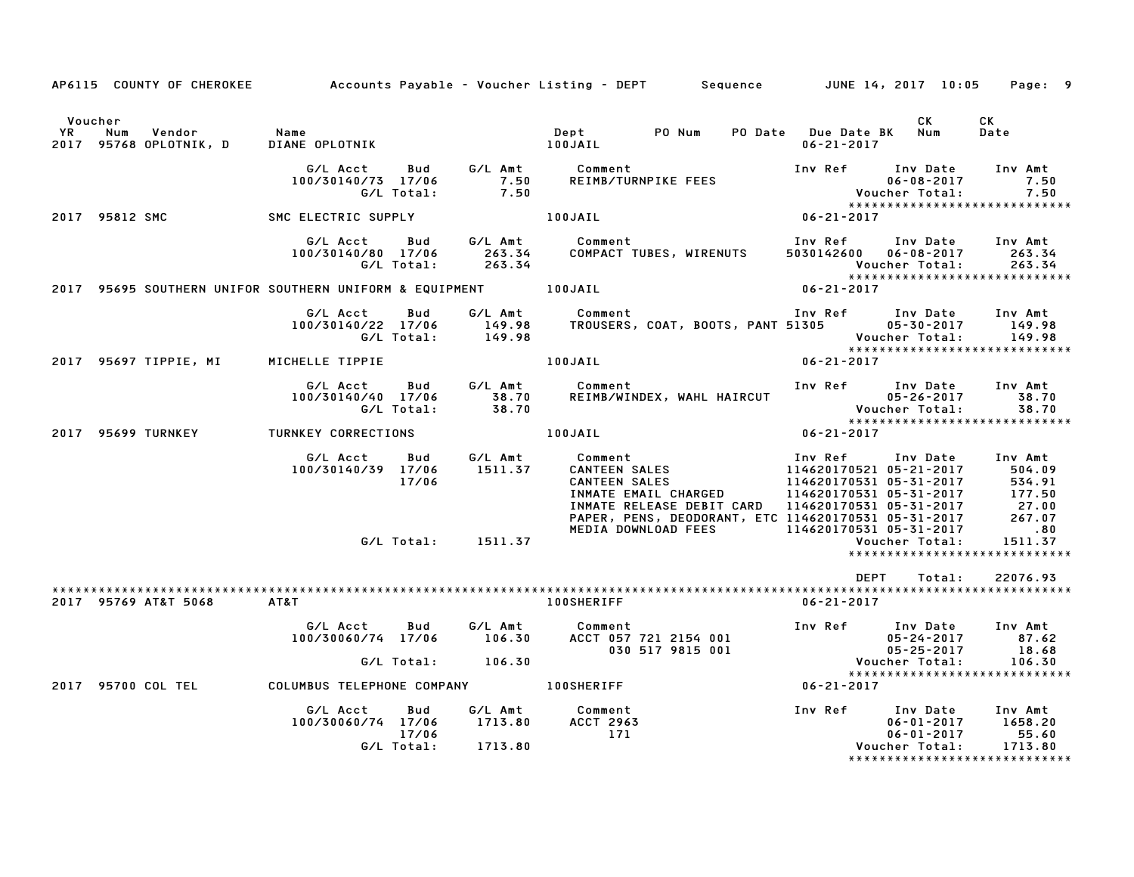|         |                                            |                                                                                                           | AP6115 COUNTY OF CHEROKEE Accounts Payable - Voucher Listing - DEPT Sequence JUNE 14, 2017 10:05                                                                                                                                        |                              | Page: 9                       |
|---------|--------------------------------------------|-----------------------------------------------------------------------------------------------------------|-----------------------------------------------------------------------------------------------------------------------------------------------------------------------------------------------------------------------------------------|------------------------------|-------------------------------|
| Voucher |                                            |                                                                                                           |                                                                                                                                                                                                                                         | CK                           | CK<br>Date                    |
|         |                                            |                                                                                                           | G/L Acct Bud G/L Amt Comment Inv Ref Inv Date Inv Amt<br>100/30140/73 17/06 7.50 REIMB/TURNPIKE FEES 06-08-2017 7.50<br>G/L Total: 7.50 100JAIL 100JAIL 106-21-2017 7.50<br>C ELECTRIC SUPPLY 100JAIL 100JAIL 06-21-2017                |                              |                               |
|         | 2017 95812 SMC SMC ELECTRIC SUPPLY 100JAIL |                                                                                                           |                                                                                                                                                                                                                                         |                              |                               |
|         |                                            |                                                                                                           | G/L Acct       Bud        G/L Amt           Comment                               Inv Ref       Inv Date      Inv Amt<br>100/30140/80   17/06        263.34      COMPACT TUBES, WIRENUTS       5030142600    06-08-2017        26       |                              |                               |
|         |                                            |                                                                                                           |                                                                                                                                                                                                                                         |                              |                               |
|         |                                            |                                                                                                           | G/L Acct Bud G/L Amt Comment Inv Ref Inv Date Inv Amt<br>100/30140/22 17/06 149.98 TROUSERS, COAT, BOOTS, PANT 51305 05–30–2017 149.98<br>G/L Total: 149.98 Voucher Total: 149.98<br>CHELLE TIPPIE 100JAIL 100JAIL 06–21–2017           |                              |                               |
|         | 2017 95697 TIPPIE, MI MICHELLE TIPPIE      |                                                                                                           |                                                                                                                                                                                                                                         |                              |                               |
|         |                                            |                                                                                                           | G/L Acct Bud G/L Amt Comment Inv Ref Inv Date Inv Amt<br>100/30140/40 17/06 38.70 REIMB/WINDEX, WAHL HAIRCUT 05-26-2017 38.70<br>G/L Total: 38.70 58.70 Woucher Total: 38.70                                                            |                              |                               |
|         | 2017 95699 TURNKEY TURNKEY CORRECTIONS     |                                                                                                           | $06 - 21 - 2017$<br>100JAIL                                                                                                                                                                                                             |                              |                               |
|         |                                            | G/L Total: 1511.37                                                                                        | 6/L Acct Bud G/L Amt Comment Inv Ref Inv Date Inv Amt<br>100/30140/39 17/06 1511.37 CANTEEN SALES 114620170521 05-21-2017 504.09<br>17/06 CANTEEN SALES 114620170531 05-31-2017 534.91<br>1917.50 INMATE EMAIL CHARGED 114620170531 05- | Voucher Total:               | 1511.37                       |
|         |                                            |                                                                                                           |                                                                                                                                                                                                                                         |                              | ***************************** |
|         | 2017 95769 AT&T 5068 AT&T                  |                                                                                                           | <b>100SHERIFF</b>                                                                                                                                                                                                                       | DEPT<br>Total:<br>06-21-2017 | 22076.93                      |
|         |                                            |                                                                                                           | 6/L Acct Bud 6/L Amt Comment<br>100/30060/74 17/06 106.30 ACCT 057 721 2154 001 106/30060/74 17/06 106.30<br>67.62 6/L Total: 106.30 030 517 9815 001<br>67.50 05-25-2017 18.68 Voucher Total: 106.30                                   |                              |                               |
|         |                                            |                                                                                                           |                                                                                                                                                                                                                                         |                              | ***************************** |
|         |                                            |                                                                                                           | 2017 95700 COL TEL COLUMBUS TELEPHONE COMPANY 100SHERIFF THE RESERVED OF 21-2017                                                                                                                                                        |                              |                               |
|         |                                            | G/L Acct  Bud  G/L Amt  Comment<br>100/30060/74 17/06  1713.80  ACCT  2963<br>17/06<br>G/L Total: 1713.80 | 171                                                                                                                                                                                                                                     |                              | ***************************** |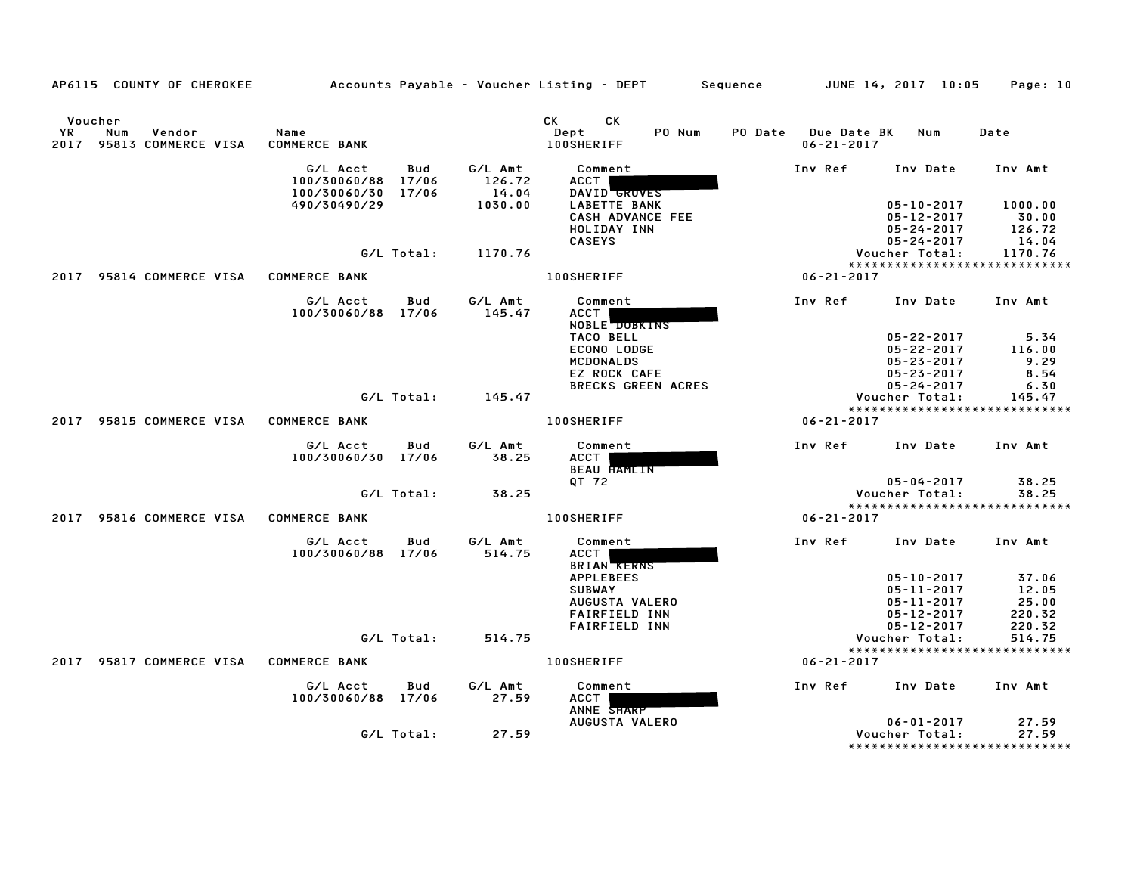|      | AP6115 COUNTY OF CHEROKEE                            |                                                |              |                            | Accounts Payable – Voucher Listing – DEPT         Sequence |                           |                                                | JUNE 14, 2017 10:05                                      | Page: 10                                |
|------|------------------------------------------------------|------------------------------------------------|--------------|----------------------------|------------------------------------------------------------|---------------------------|------------------------------------------------|----------------------------------------------------------|-----------------------------------------|
| YR   | Voucher<br>Num<br>Vendor<br>2017 95813 COMMERCE VISA | Name<br><b>COMMERCE BANK</b>                   |              |                            | CK .<br><b>CK</b><br>Dept<br><b>100SHERIFF</b>             | PO Num                    | <b>PO Date</b> Due Date BK<br>$06 - 21 - 2017$ | Num                                                      | Date                                    |
|      |                                                      | G/L Acct<br>100/30060/88 17/06<br>100/30060/30 | Bud<br>17/06 | G/L Amt<br>126.72<br>14.04 | Comment<br>ACCT  <br>DAVID GROVES                          |                           | Inv Ref                                        | Inv Date                                                 | Inv Amt                                 |
|      |                                                      | 490/30490/29                                   |              | 1030.00                    | <b>LABETTE BANK</b><br>CASH ADVANCE FEE<br>HOLIDAY INN     |                           |                                                | $05 - 10 - 2017$<br>$05 - 12 - 2017$<br>$05 - 24 - 2017$ | 1000.00<br>30.00<br>126.72              |
|      |                                                      |                                                | G/L Total:   | 1170.76                    | <b>CASEYS</b>                                              |                           |                                                | $05 - 24 - 2017$<br>Voucher Total:                       | 14.04<br>1170.76                        |
| 2017 | 95814 COMMERCE VISA                                  | <b>COMMERCE BANK</b>                           |              |                            | <b>100SHERIFF</b>                                          |                           | $06 - 21 - 2017$                               |                                                          | *****************************           |
|      |                                                      | G/L Acct<br>100/30060/88 17/06                 | Bud          | G/L Amt<br>145.47          | Comment<br>ACCT<br><b>NOBLE DOBKINS</b>                    |                           | Inv Ref                                        | Inv Date                                                 | Inv Amt                                 |
|      |                                                      |                                                |              |                            | TACO BELL<br>ECONO LODGE<br>MCDONALDS                      |                           |                                                | $05 - 22 - 2017$<br>$05 - 22 - 2017$<br>$05 - 23 - 2017$ | 5.34<br>116.00<br>9.29                  |
|      |                                                      |                                                |              |                            | EZ ROCK CAFE                                               | <b>BRECKS GREEN ACRES</b> |                                                | $05 - 23 - 2017$<br>$05 - 24 - 2017$                     | 8.54<br>6.30                            |
|      |                                                      |                                                | G/L Total:   | 145.47                     |                                                            |                           |                                                | Voucher Total:                                           | 145.47<br>***************************** |
| 2017 | 95815 COMMERCE VISA                                  | <b>COMMERCE BANK</b>                           |              |                            | <b>100SHERIFF</b>                                          |                           | $06 - 21 - 2017$                               |                                                          |                                         |
|      |                                                      | G/L Acct<br>100/30060/30 17/06                 | Bud          | G/L Amt<br>38.25           | Comment<br>ACCT<br><b>BEAU HAMLIN</b>                      |                           | Inv Ref                                        | Inv Date                                                 | Inv Amt                                 |
|      |                                                      |                                                | G/L Total:   | 38.25                      | QT 72                                                      |                           |                                                | $05 - 04 - 2017$<br>Voucher Total:                       | 38.25<br>38.25                          |
|      |                                                      |                                                |              |                            |                                                            |                           |                                                |                                                          | *****************************           |
|      | 2017 95816 COMMERCE VISA                             | <b>COMMERCE BANK</b>                           |              |                            | <b>100SHERIFF</b>                                          |                           | $06 - 21 - 2017$                               |                                                          |                                         |
|      |                                                      | G/L Acct<br>100/30060/88 17/06                 | Bud          | G/L Amt<br>514.75          | Comment<br>ACCT  <br><b>BRIAN RERNS</b>                    |                           | Inv Ref                                        | Inv Date                                                 | Inv Amt                                 |
|      |                                                      |                                                |              |                            | <b>APPLEBEES</b>                                           |                           |                                                | $05 - 10 - 2017$                                         | 37.06                                   |
|      |                                                      |                                                |              |                            | <b>SUBWAY</b><br>AUGUSTA VALERO                            |                           |                                                | $05 - 11 - 2017$<br>05-11-2017                           | 12.05<br>25.00                          |
|      |                                                      |                                                |              |                            | <b>FAIRFIELD INN</b>                                       |                           |                                                | 05-12-2017                                               | 220.32                                  |
|      |                                                      |                                                | G/L Total:   | 514.75                     | <b>FAIRFIELD INN</b>                                       |                           |                                                | $05 - 12 - 2017$<br>Voucher Total:                       | 220.32<br>514.75                        |
|      | 2017 95817 COMMERCE VISA                             | <b>COMMERCE BANK</b>                           |              |                            | 100SHERIFF                                                 |                           | 06-21-2017                                     |                                                          | *****************************           |
|      |                                                      |                                                |              |                            |                                                            |                           |                                                |                                                          |                                         |
|      |                                                      | G/L Acct<br>100/30060/88 17/06                 | Bud          | G/L Amt<br>27.59           | Comment<br>ACCT<br>ANNE SHARP                              |                           | Inv Ref                                        | Inv Date                                                 | Inv Amt                                 |
|      |                                                      |                                                | G/L Total:   | 27.59                      | AUGUSTA VALERO                                             |                           |                                                | $06 - 01 - 2017$<br>Voucher Total:                       | 27.59<br>27.59                          |
|      |                                                      |                                                |              |                            |                                                            |                           |                                                |                                                          | *****************************           |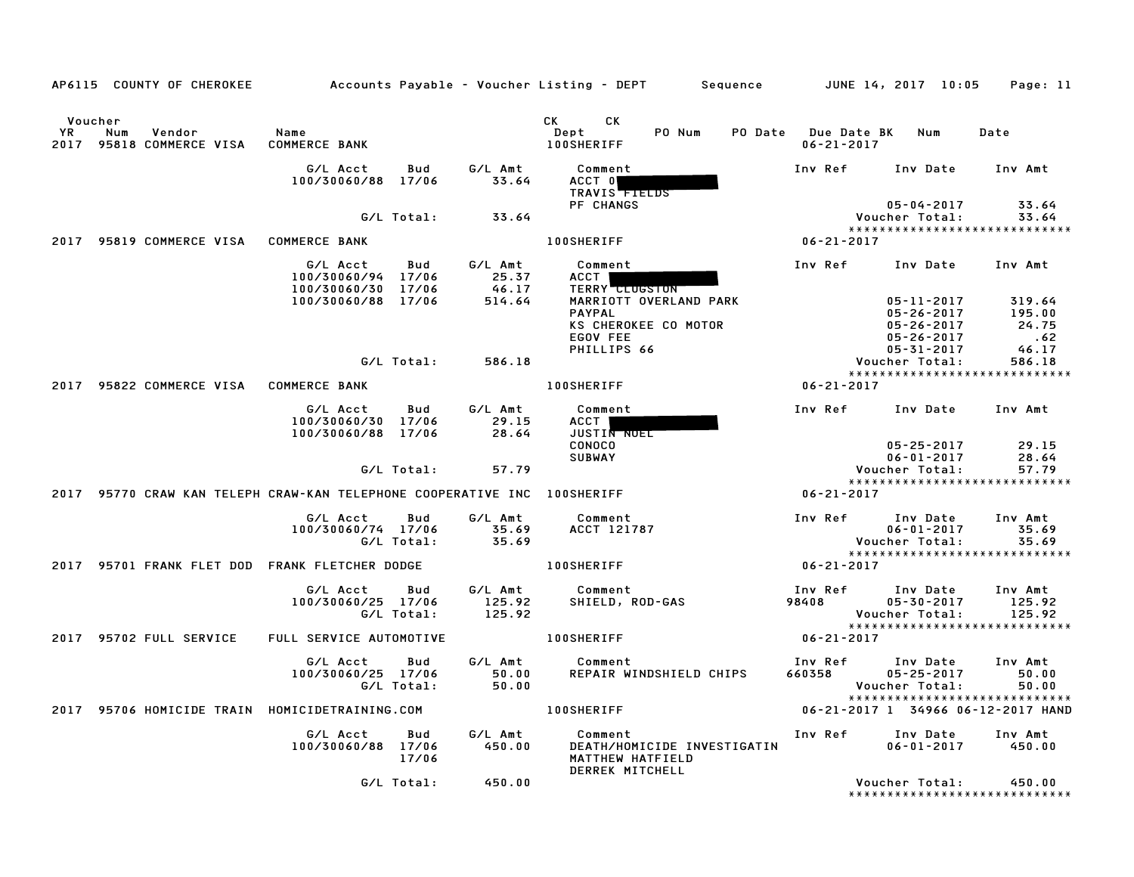|             |                | AP6115 COUNTY OF CHEROKEE     |                                                                          |                       |                                     | Accounts Payable – Voucher Listing – DEPT         Sequence |                             |                                         | JUNE 14, 2017 10:05                                                                     | Page: 11                                    |
|-------------|----------------|-------------------------------|--------------------------------------------------------------------------|-----------------------|-------------------------------------|------------------------------------------------------------|-----------------------------|-----------------------------------------|-----------------------------------------------------------------------------------------|---------------------------------------------|
| YR.<br>2017 | Voucher<br>Num | Vendor<br>95818 COMMERCE VISA | Name<br><b>COMMERCE BANK</b>                                             |                       |                                     | CK .<br>CK.<br>Dept<br><b>100SHERIFF</b>                   | PO Num                      | PO Date Due Date BK<br>$06 - 21 - 2017$ | Num                                                                                     | Date                                        |
|             |                |                               | G/L Acct<br>100/30060/88 17/06                                           | Bud                   | G/L Amt<br>33.64                    | Comment<br>ACCT 0<br>TRAVIS <b>TIELDS</b>                  |                             | Inv Ref                                 | Inv Date                                                                                | Inv Amt                                     |
|             |                |                               |                                                                          | G/L Total:            | 33.64                               | PF CHANGS                                                  |                             |                                         | $05 - 04 - 2017$<br>Voucher Total:<br>*****************************                     | 33.64<br>33.64                              |
| 2017        |                | 95819 COMMERCE VISA           | <b>COMMERCE BANK</b>                                                     |                       |                                     | <b>100SHERIFF</b>                                          |                             | 06-21-2017                              |                                                                                         |                                             |
|             |                |                               | G/L Acct<br>100/30060/94 17/06<br>100/30060/30<br>100/30060/88 17/06     | Bud<br>17/06          | G/L Amt<br>25.37<br>46.17<br>514.64 | Comment<br>ACCT  <br><b>TERRY CLUGSTON</b>                 | MARRIOTT OVERLAND PARK      | Inv Ref                                 | Inv Date<br>05-11-2017                                                                  | Inv Amt<br>319.64                           |
|             |                |                               |                                                                          |                       |                                     | <b>PAYPAL</b><br>EGOV FEE<br>PHILLIPS 66                   | KS CHEROKEE CO MOTOR        |                                         | $05 - 26 - 2017$<br>05-26-2017<br>$05 - 26 - 2017$<br>$05 - 31 - 2017$                  | 195.00<br>24.75<br>$\overline{62}$<br>46.17 |
|             |                |                               |                                                                          | G/L Total:            | 586.18                              |                                                            |                             |                                         | Voucher Total:<br>*****************************                                         | 586.18                                      |
|             |                | 2017 95822 COMMERCE VISA      | <b>COMMERCE BANK</b>                                                     |                       |                                     | 100SHERIFF                                                 |                             | $06 - 21 - 2017$                        |                                                                                         |                                             |
|             |                |                               | G/L Acct<br>100/30060/30<br>100/30060/88                                 | Bud<br>17/06<br>17/06 | G/L Amt<br>29.15<br>28.64           | Comment<br>ACCT I<br><b>JUSTIN NOEL</b>                    |                             | Inv Ref                                 | Inv Date                                                                                | Inv Amt                                     |
|             |                |                               |                                                                          | G/L Total:            | 57.79                               | <b>CONOCO</b><br><b>SUBWAY</b>                             |                             |                                         | $05 - 25 - 2017$<br>$06 - 01 - 2017$<br>Voucher Total:<br>***************************** | 29.15<br>28.64<br>57.79                     |
|             |                |                               | 2017 95770 CRAW KAN TELEPH CRAW-KAN TELEPHONE COOPERATIVE INC 100SHERIFF |                       |                                     |                                                            |                             | 06-21-2017                              |                                                                                         |                                             |
|             |                |                               | G/L Acct<br>100/30060/74 17/06                                           | Bud<br>G/L Total:     | G/L Amt<br>35.69<br>35.69           | Comment<br>ACCT 121787                                     |                             | Inv Ref                                 | Inv Date<br>$06 - 01 - 2017$<br>Voucher Total:<br>*****************************         | Inv Amt<br>35.69<br>35.69                   |
|             |                |                               | 2017 95701 FRANK FLET DOD FRANK FLETCHER DODGE                           |                       |                                     | <b>100SHERIFF</b>                                          |                             | 06-21-2017                              |                                                                                         |                                             |
|             |                |                               | G/L Acct<br>100/30060/25 17/06                                           | Bud<br>G/L Total:     | G/L Amt<br>125.92<br>125.92         | Comment<br>SHIELD, ROD-GAS                                 |                             | Inv Ref<br>98408                        | Inv Date<br>$05 - 30 - 2017$<br>Voucher Total:                                          | Inv Amt<br>125.92<br>125.92                 |
|             |                | 2017 95702 FULL SERVICE       | FULL SERVICE AUTOMOTIVE                                                  |                       |                                     | <b>100SHERIFF</b>                                          |                             | 06-21-2017                              | *****************************                                                           |                                             |
|             |                |                               | G/L Acct<br>100/30060/25 17/06                                           | Bud<br>G/L Total:     | G/L Amt<br>50.00<br>50.00           | Comment                                                    | REPAIR WINDSHIELD CHIPS     | Inv Ref<br>660358                       | Inv Date<br>$05 - 25 - 2017$<br>Voucher Total:<br>*****************************         | Inv Amt<br>50.00<br>50.00                   |
| 2017        |                |                               | 95706 HOMICIDE TRAIN HOMICIDETRAINING.COM                                |                       |                                     | <b>100SHERIFF</b>                                          |                             |                                         | 06-21-2017 1 34966 06-12-2017 HAND                                                      |                                             |
|             |                |                               | G/L Acct<br>100/30060/88 17/06                                           | Bud<br>17/06          | G/L Amt<br>450.00                   | Comment<br>MATTHEW HATFIELD                                | DEATH/HOMICIDE INVESTIGATIN | Inv Ref                                 | Inv Date<br>$06 - 01 - 2017$                                                            | Inv Amt<br>450.00                           |
|             |                |                               |                                                                          | G/L Total:            | 450.00                              | DERREK MITCHELL                                            |                             |                                         | Voucher Total:<br>*******************************                                       | 450.00                                      |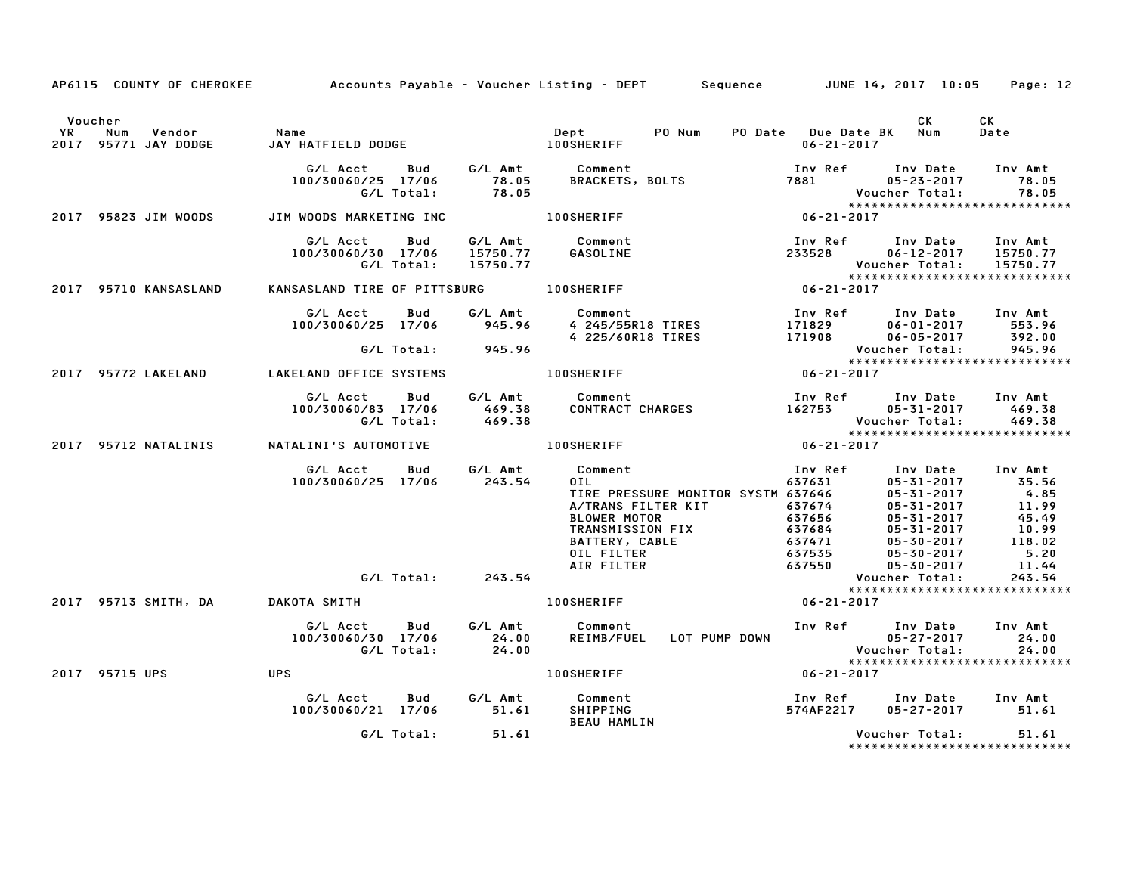|                                                                  |                                                                 |                     | AP6115 COUNTY OF CHEROKEE Accounts Payable - Voucher Listing - DEPT Sequence JUNE 14, 2017 10:05 Page: 12                                                                                                                                                                                                  |                                             |                         |                                |
|------------------------------------------------------------------|-----------------------------------------------------------------|---------------------|------------------------------------------------------------------------------------------------------------------------------------------------------------------------------------------------------------------------------------------------------------------------------------------------------------|---------------------------------------------|-------------------------|--------------------------------|
| Voucher<br>YR Num Vendor - Name<br>2017 95771 JAY DODGE - JAY HA |                                                                 |                     |                                                                                                                                                                                                                                                                                                            | PO Date Due Date BK Num<br>$06 - 21 - 2017$ | CK                      | CK<br>Date                     |
|                                                                  |                                                                 |                     | G/LAcct Bud G/LAmt Comment Inv Ref Inv Date Inv Amt<br>100/30060/25 17/06 78.05 BRACKETS, BOLTS 7881 05-23-2017 78.05<br>G/LTotal: 78.05 BRACKETS, BOLTS 7881 Voucher Total: 78.05<br>MWOODSMARKETINGINC 100SHERIFF 100SERIFF 06-21-201                                                                    |                                             |                         |                                |
| 2017 95823 JIM WOODS                                             | JIM WOODS MARKETING INC <b>100SHERIFF</b>                       |                     |                                                                                                                                                                                                                                                                                                            |                                             |                         |                                |
|                                                                  |                                                                 | G/L Total: 15750.77 | G/L Acct  Bud  G/L Amt  Comment<br>100/30060/30  17/06  15750.77  GASOLINE                                                                                                                                                                                                                                 |                                             | Voucher Total: 15750.77 |                                |
| 2017 95710 KANSASLAND                                            |                                                                 |                     |                                                                                                                                                                                                                                                                                                            |                                             |                         |                                |
|                                                                  |                                                                 |                     | G/L Acct Bud G/L Amt Comment<br>100/30060/25 17/06 945.96 4 245/55R18 TIRES 171829 06-01-2017 553.96<br>G/L Total: 945.96 4 225/60R18 TIRES 171908 06-05-2017 392.00<br>KELAND OFFICE SYSTEMS 100SHERIFF 100SHERIFF 06-21-2017                                                                             |                                             |                         |                                |
| 2017 95772 LAKELAND LAKELAND OFFICE SYSTEMS                      |                                                                 |                     |                                                                                                                                                                                                                                                                                                            |                                             |                         |                                |
|                                                                  |                                                                 |                     | G/L Acct Bud G/L Amt Comment Inv Ref Inv Date Inv Amt<br>100/30060/83 17/06 469.38 CONTRACT CHARGES 162753 05-31-2017 469.38<br>G/L Total: 469.38 CONTRACT CHARGES 162753 Voucher Total: 469.38<br>2017 95712 NATALINI'S AUTOMOTIVE 100                                                                    |                                             |                         |                                |
|                                                                  |                                                                 |                     |                                                                                                                                                                                                                                                                                                            |                                             |                         |                                |
|                                                                  | 100/30060/25 17/06 243.54                                       |                     | 011<br>011<br>012<br>05-31-2017<br>11.99<br>05-31-2017<br>11.99<br>05-31-2017<br>11.99<br>05-31-2017<br>4.85<br>05-31-2017<br>11.99<br>05-31-2017<br>05-31-2017<br>05-31-2017<br>05-31-2017<br>05-31-2017<br>05-31-2017<br>05-31-2017<br>05-31-2017<br>05-30-2017<br>05-30<br>G/L Acct Bud G/L Amt Comment |                                             |                         |                                |
|                                                                  |                                                                 | G/L Total: 243.54   |                                                                                                                                                                                                                                                                                                            |                                             | Voucher Total:          | 243.54                         |
| 2017 95713 SMITH, DA         DAKOTA SMITH                        |                                                                 |                     | 100SHERIFF 06-21-2017                                                                                                                                                                                                                                                                                      |                                             |                         | *****************************  |
|                                                                  | G/L Acct Bud<br>100/30060/30 17/06<br>G/L Total: 24.00<br>24.00 |                     | G/L Amt Comment                                                                                                                                                                                                                                                                                            |                                             |                         |                                |
| 2017 95715 UPS                                                   | <b>UPS</b>                                                      |                     | 100SHERIFF 06-21-2017                                                                                                                                                                                                                                                                                      |                                             |                         |                                |
|                                                                  |                                                                 |                     | BEAU HAMLIN                                                                                                                                                                                                                                                                                                | Inv Ref Inv Date Inv Amt<br>574AF2217       | 05-27-2017 51.61        |                                |
|                                                                  |                                                                 | G/L Total: 51.61    |                                                                                                                                                                                                                                                                                                            |                                             | Voucher Total: 51.61    | ****************************** |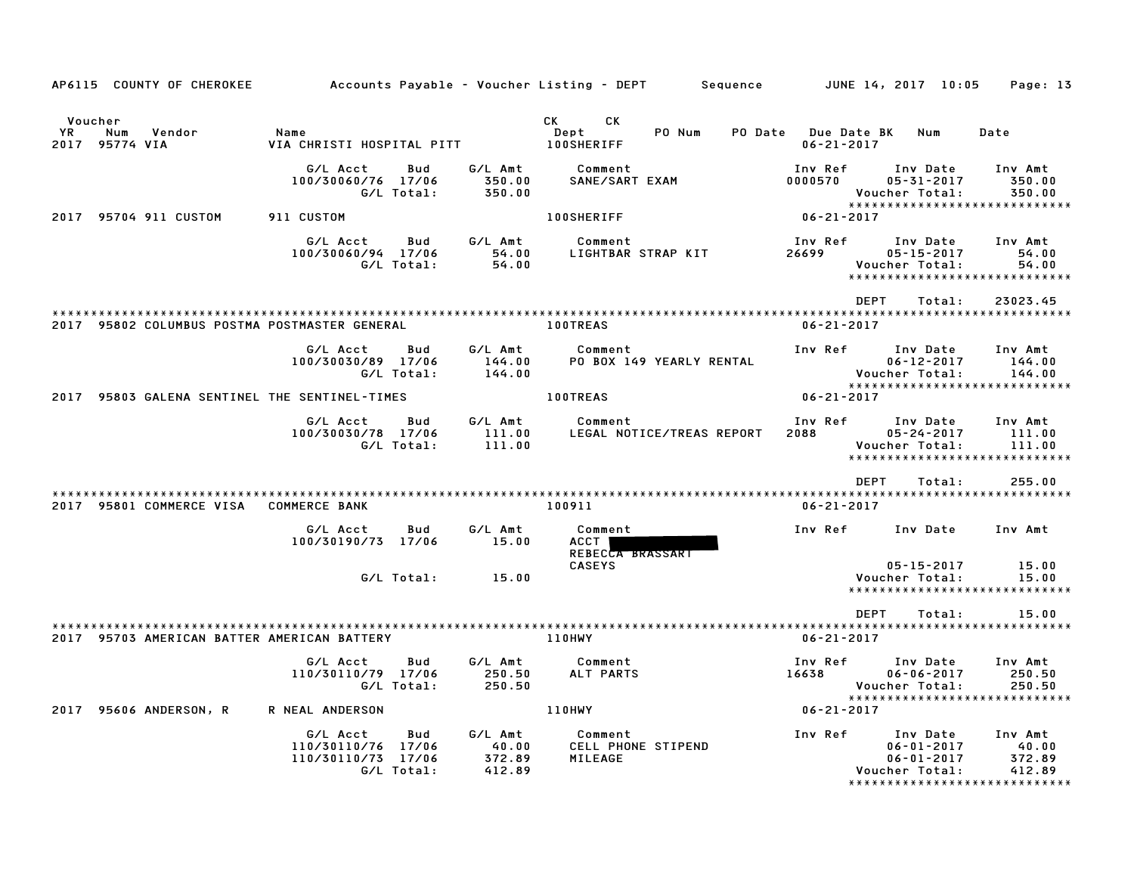|                       | AP6115 COUNTY OF CHEROKEE                     |                                                                                 |                                      | Accounts Payable – Voucher Listing – DEPT<br>Sequence      |                                        | JUNE 14, 2017 10:05                                                                                 | Page: 13                             |
|-----------------------|-----------------------------------------------|---------------------------------------------------------------------------------|--------------------------------------|------------------------------------------------------------|----------------------------------------|-----------------------------------------------------------------------------------------------------|--------------------------------------|
| Voucher<br>YR<br>2017 | Num<br>Vendor<br>95774 VIA                    | Name<br>VIA CHRISTI HOSPITAL PITT                                               |                                      | CK<br>СK<br>Dept<br>PO Num<br>PO Date<br><b>100SHERIFF</b> | <b>Due Date BK</b><br>$06 - 21 - 2017$ | Num                                                                                                 | Date                                 |
|                       |                                               | G/L Acct<br>Bud<br>100/30060/76 17/06<br>G/L Total:                             | G/L Amt<br>350.00<br>350.00          | Comment<br>SANE/SART EXAM                                  | Inv Ref<br>0000570                     | Inv Date<br>$05 - 31 - 2017$<br>Voucher Total:<br>*****************************                     | Inv Amt<br>350.00<br>350.00          |
| 2017                  | 95704 911 CUSTOM                              | 911 CUSTOM                                                                      |                                      | <b>100SHERIFF</b>                                          | $06 - 21 - 2017$                       |                                                                                                     |                                      |
|                       |                                               | G/L Acct<br>Bud<br>100/30060/94 17/06<br>G/L Total:                             | G/L Amt<br>54.00<br>54.00            | Comment<br>LIGHTBAR STRAP KIT                              | Inv Ref<br>26699                       | Inv Date<br>$05 - 15 - 2017$<br>Voucher Total:<br>*****************************                     | Inv Amt<br>54.00<br>54.00            |
|                       |                                               |                                                                                 |                                      |                                                            | <b>DEPT</b>                            | Total:                                                                                              | 23023.45                             |
|                       | 2017 95802 COLUMBUS POSTMA POSTMASTER GENERAL |                                                                                 |                                      | <b>100TREAS</b>                                            | $06 - 21 - 2017$                       |                                                                                                     |                                      |
|                       |                                               | G/L Acct<br>Bud<br>100/30030/89 17/06<br>G/L Total:                             | G/L Amt<br>144.00<br>144.00          | Comment<br>PO BOX 149 YEARLY RENTAL                        | Inv Ref                                | Inv Date<br>$06 - 12 - 2017$<br>Voucher Total:<br>*****************************                     | Inv Amt<br>144.00<br>144.00          |
|                       | 2017 95803 GALENA SENTINEL THE SENTINEL-TIMES |                                                                                 |                                      | <b>100TREAS</b>                                            | $06 - 21 - 2017$                       |                                                                                                     |                                      |
|                       |                                               | G/L Acct<br>Bud<br>100/30030/78 17/06<br>G/L Total:                             | G/L Amt<br>111.00<br>111.00          | Comment<br>LEGAL NOTICE/TREAS REPORT                       | Inv Ref<br>2088                        | Inv Date<br>$05 - 24 - 2017$<br>Voucher Total:<br>*****************************                     | Inv Amt<br>111.00<br>111.00          |
|                       |                                               |                                                                                 |                                      |                                                            | <b>DEPT</b>                            | Total:                                                                                              | 255.00                               |
|                       | 2017 95801 COMMERCE VISA                      | <b>COMMERCE BANK</b>                                                            |                                      | 100911                                                     | $06 - 21 - 2017$                       |                                                                                                     |                                      |
|                       |                                               | G/L Acct<br>Bud<br>100/30190/73<br>17/06                                        | G/L Amt<br>15.00                     | Comment<br><b>ACCT</b><br>REBECCA BRASSART                 | Inv Ref                                | Inv Date                                                                                            | Inv Amt                              |
|                       |                                               | G/L Total:                                                                      | 15.00                                | <b>CASEYS</b>                                              |                                        | $05 - 15 - 2017$<br>Voucher Total:<br>*****************************                                 | 15.00<br>15.00                       |
|                       |                                               |                                                                                 |                                      |                                                            | <b>DEPT</b>                            | Total:                                                                                              | 15.00                                |
|                       | 2017 95703 AMERICAN BATTER AMERICAN BATTERY   |                                                                                 |                                      | 110HWY                                                     | $06 - 21 - 2017$                       |                                                                                                     |                                      |
|                       |                                               | G/L Acct<br>Bud<br>110/30110/79 17/06<br>G/L Total:                             | G/L Amt<br>250.50<br>250.50          | Comment<br>ALT PARTS                                       | Inv Ref<br>16638                       | Inv Date<br>$06 - 06 - 2017$<br>Voucher Total:<br>*****************************                     | Inv Amt<br>250.50<br>250.50          |
|                       | 2017 95606 ANDERSON, R                        | R NEAL ANDERSON                                                                 |                                      | 110HWY                                                     | $06 - 21 - 2017$                       |                                                                                                     |                                      |
|                       |                                               | G/L Acct<br>Bud<br>110/30110/76<br>17/06<br>110/30110/73<br>17/06<br>G/L Total: | G/L Amt<br>40.00<br>372.89<br>412.89 | Comment<br>CELL PHONE STIPEND<br>MILEAGE                   | Inv Ref                                | Inv Date<br>$06 - 01 - 2017$<br>$06 - 01 - 2017$<br>Voucher Total:<br>***************************** | Inv Amt<br>40.00<br>372.89<br>412.89 |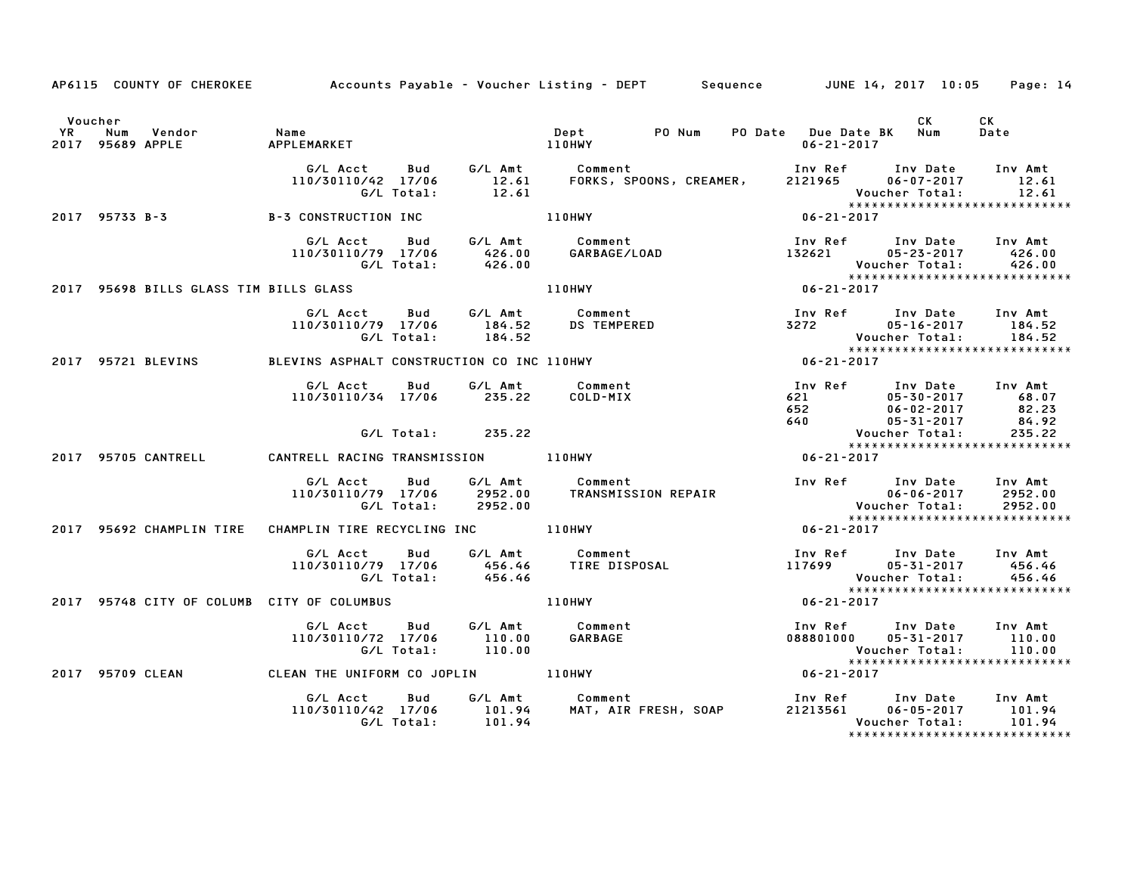|                      |                                            |                                                                                            |                  | AP6115 COUNTY OF CHEROKEE Accounts Payable - Voucher Listing - DEPT Sequence JUNE 14, 2017 10:05 Page: 14                          |                                                                                                                                      |                                                                                                                                        |
|----------------------|--------------------------------------------|--------------------------------------------------------------------------------------------|------------------|------------------------------------------------------------------------------------------------------------------------------------|--------------------------------------------------------------------------------------------------------------------------------------|----------------------------------------------------------------------------------------------------------------------------------------|
| Voucher<br><b>YR</b> | Num<br>2017 95689 APPLE                    |                                                                                            |                  |                                                                                                                                    | PO Date Due Date BK Num<br>06-21-2017                                                                                                | <b>CK</b><br>CK<br>Date                                                                                                                |
|                      |                                            |                                                                                            | G/L Total: 12.61 | G/L Acct Bud G/L Amt Comment Inv Ref Inv Date Inv Amt<br>110/30110/42 17/06 12.61 FORKS, SPOONS, CREAMER, 2121965 06–07–2017 12.61 |                                                                                                                                      | Voucher Total: 12.61<br>*****************************<br>06-21-2017                                                                    |
|                      |                                            | 2017 95733 B-3 B-3 CONSTRUCTION INC 110HWY                                                 |                  |                                                                                                                                    |                                                                                                                                      |                                                                                                                                        |
|                      |                                            |                                                                                            |                  | oud G/LAmt Comment<br>110/30110/79 17/06 426.00 GARBAGE/LOAD<br>G/LTotal: 426.00                                                   |                                                                                                                                      | Inv Ref Inv Date Inv Amt<br>132621 05-23-2017 426.00<br>Voucher Total: 426.00<br>*******************************                       |
|                      |                                            | 2017 95698 BILLS GLASS TIM BILLS GLASS                                                     |                  | 110HWY                                                                                                                             | Vouc<br>*****<br>06-21-2017                                                                                                          |                                                                                                                                        |
|                      |                                            | G/L Acct Bud G/L Amt Comment<br>110/30110/79 17/06 184.52 DS TEMPERED<br>G/L Total: 184.52 |                  |                                                                                                                                    |                                                                                                                                      | Inv Ref Inv Date Inv Amt<br>3272 05-16-2017 184.52<br>Voucher Total: 184.52<br>**********************************                      |
|                      | 2017 95721 BLEVINS                         |                                                                                            |                  |                                                                                                                                    |                                                                                                                                      |                                                                                                                                        |
|                      |                                            | G/L Acct Bud<br>110/30110/34 17/06 235.22 COLD-MIX                                         |                  | G/L Amt Comment                                                                                                                    | 100 Ker 100 Date 100 Amt<br>621 05-30-2017 68.07<br>640 05-31-2017 82.23<br>640 05-31-2017 84.92<br>84.92<br>84.92<br>84.92<br>84.92 | Inv Ref Inv Date Inv Amt                                                                                                               |
|                      |                                            | G/L Total:                                                                                 | 235.22           |                                                                                                                                    |                                                                                                                                      |                                                                                                                                        |
|                      | 2017 95705 CANTRELL                        | CANTRELL RACING TRANSMISSION 110HWY                                                        |                  |                                                                                                                                    |                                                                                                                                      |                                                                                                                                        |
|                      |                                            | G/L Acct   Bud<br>G/L Total: 2952.00                                                       |                  | G/L Amt Comment<br>110/30110/79 17/06 2952.00 TRANSMISSION REPAIR                                                                  | Inv Ref Inv Date Inv Amt                                                                                                             |                                                                                                                                        |
|                      |                                            | 2017 95692 CHAMPLIN TIRE CHAMPLIN TIRE RECYCLING INC 110HWY                                |                  |                                                                                                                                    | $06 - 21 - 2017$                                                                                                                     |                                                                                                                                        |
|                      |                                            | G/L Total: 456.46                                                                          |                  |                                                                                                                                    | Voucher Total:                                                                                                                       | Inv Ref      Inv Date    Inv Amt<br>117699         05-31-2017       456.46<br>456.46<br>*****************************                  |
|                      | 2017 95748 CITY OF COLUMB CITY OF COLUMBUS |                                                                                            |                  | 110HWY                                                                                                                             | $06 - 21 - 2017$                                                                                                                     |                                                                                                                                        |
|                      |                                            | G/L Acct<br>Bud<br>110/30110/72 17/06 110.00<br>G/L Total: 110.00                          |                  | G/L Amt Comment<br>110.00 GARBAGE<br>110.00                                                                                        |                                                                                                                                      | Inv Ref       Inv Date     Inv Amt<br>088801000      05-31-2017        110.00<br>Voucher Total: 110.00<br>**************************** |
|                      |                                            | 2017 95709 CLEAN CLEAN THE UNIFORM CO JOPLIN 110HWY                                        |                  |                                                                                                                                    | $06 - 21 - 2017$                                                                                                                     |                                                                                                                                        |
|                      |                                            |                                                                                            |                  |                                                                                                                                    |                                                                                                                                      |                                                                                                                                        |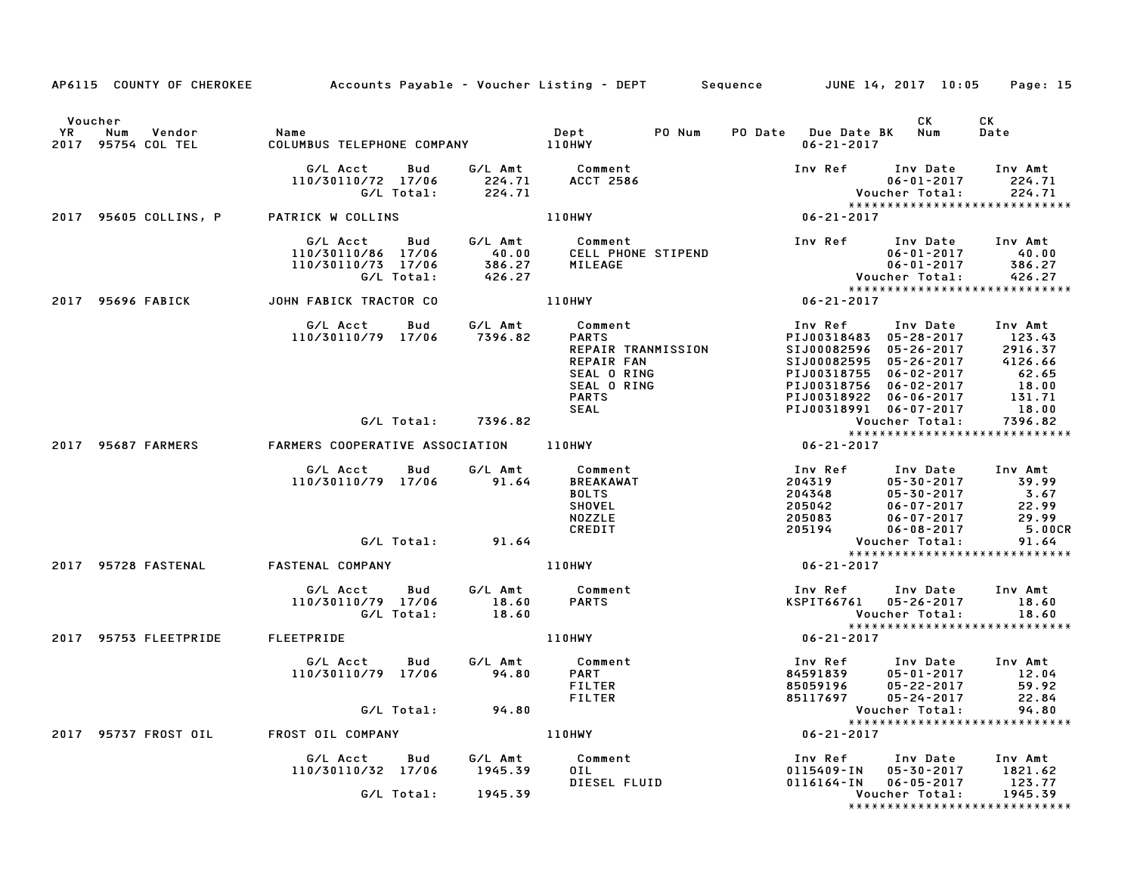|    | AP6115 COUNTY OF CHEROKEE Accounts Payable - Voucher Listing - DEPT Sequence JUNE 14, 2017 10:05 |                                                                                                                                                                                                                                                                                                                                                         |                          |                           |                                                                                                  |  |                                              |                                                                                                                                                                                                                                                                                   | Page: 15                                                                                  |
|----|--------------------------------------------------------------------------------------------------|---------------------------------------------------------------------------------------------------------------------------------------------------------------------------------------------------------------------------------------------------------------------------------------------------------------------------------------------------------|--------------------------|---------------------------|--------------------------------------------------------------------------------------------------|--|----------------------------------------------|-----------------------------------------------------------------------------------------------------------------------------------------------------------------------------------------------------------------------------------------------------------------------------------|-------------------------------------------------------------------------------------------|
| YR | Voucher<br>Num<br>Vendor<br>2017 95754 COL TEL                                                   | Name                                                                                                                                                                                                                                                                                                                                                    |                          |                           | Dept PO Num                                                                                      |  | PO Date Due Date BK Num<br>$06 - 21 - 2017$  | CK                                                                                                                                                                                                                                                                                | CK<br>Date                                                                                |
|    |                                                                                                  |                                                                                                                                                                                                                                                                                                                                                         |                          |                           | G/L Acct  Bud  G/L Amt  Comment<br>110/30110/72  17/06  224.71  ACCT  2586<br>G/L Total:  224.71 |  |                                              | Inv Ref      Inv Date     Inv Amt<br>$06 - 01 - 2017$                                                                                                                                                                                                                             | 224.71<br>Voucher Total: 224.71<br>****************************                           |
|    | 2017 95605 COLLINS, P PATRICK W COLLINS                                                          |                                                                                                                                                                                                                                                                                                                                                         |                          |                           | 110HWY                                                                                           |  | $06 - 21 - 2017$                             |                                                                                                                                                                                                                                                                                   |                                                                                           |
|    |                                                                                                  | G/L Acct Bud G/L Amt<br>110/30110/86 17/06 40.00<br>110/30110/73 17/06 386.27<br>G/L Total: 426.27                                                                                                                                                                                                                                                      |                          |                           | Comment<br>CELL PHONE STIPEND<br>MILEAGE                                                         |  | Vouc<br>****<br>06-21-2017                   | Inv Ref      Inv Date     Inv Amt<br>06-01-2017         40.00                                                                                                                                                                                                                     | 06-01-2017<br>06-01-2017 386.27<br>Voucher Total: 426.27<br>***************************** |
|    | 2017 95696 FABICK                                                                                | JOHN FABICK TRACTOR CO                                                                                                                                                                                                                                                                                                                                  |                          |                           | 110HWY                                                                                           |  |                                              |                                                                                                                                                                                                                                                                                   |                                                                                           |
|    |                                                                                                  | G/L Acct  Bud  G/L Amt  Comment<br>110/30110/79 17/06  7396.82  PARTS<br>EAL O RING<br>SEAL O RING<br>SEAL O RING<br>SEAL O RING<br>PIJ00318756<br>PIJ00318756<br>PIJ00318922<br>SEAL<br>PIJ00318991<br>PIJ00318991<br>PIJ00318991<br>PIJ00318991<br>PIJ00318991<br>PIJ00318991<br>PIJ00318991<br>PIJ00318991<br>PIJ00318991<br>PIJ00318991<br>PIJ00318 |                          |                           | REPAIR TRANMISSION<br>REPAIR FAN                                                                 |  |                                              | 1nv Ref 1nv Date 1nv Amt<br>PIJ00318483 05-28-2017 123.43<br>SIJ00082596 05-26-2017 2916.37<br>SIJ00082595 05-26-2017 4126.66<br>PIJ00318755 06-02-2017 62.65<br>PIJ00318756 06-02-2017 18.00<br>PIJ00318756 06-02-2017 18.00<br>PIJ00318922 06-06-2017<br>PIJ00318991 06-07-2017 | $\begin{array}{c} -6 \\ 18.01 \\ 131.71 \\ 18.0^{\circ} \\ 77 \end{array}$                |
|    |                                                                                                  |                                                                                                                                                                                                                                                                                                                                                         |                          |                           |                                                                                                  |  |                                              | Voucher Total:                                                                                                                                                                                                                                                                    |                                                                                           |
|    | 2017 95687 FARMERS                                                                               |                                                                                                                                                                                                                                                                                                                                                         |                          |                           |                                                                                                  |  |                                              |                                                                                                                                                                                                                                                                                   | *****************************                                                             |
|    |                                                                                                  | G/L Acct Bud<br>110/30110/79 17/06 91.64                                                                                                                                                                                                                                                                                                                |                          | G/L Amt                   | Comment<br><b>BREAKAWAT</b><br><b>BOLTS</b><br><b>SHOVEL</b><br><b>NOZZLE</b><br>CREDIT          |  |                                              | 05-30-2017<br>05-30-2017 3.67<br>06-07-2017 22.99                                                                                                                                                                                                                                 | 29.99<br>5.00CR                                                                           |
|    |                                                                                                  |                                                                                                                                                                                                                                                                                                                                                         |                          | G/L Total: 91.64          |                                                                                                  |  |                                              | Voucher Total:                                                                                                                                                                                                                                                                    | 91.64<br>*****************************                                                    |
|    | 2017 95728 FASTENAL FASTENAL COMPANY                                                             |                                                                                                                                                                                                                                                                                                                                                         |                          |                           | <b>110HWY</b>                                                                                    |  | $06 - 21 - 2017$                             |                                                                                                                                                                                                                                                                                   |                                                                                           |
|    |                                                                                                  | G/L Acct<br>110/30110/79 17/06                                                                                                                                                                                                                                                                                                                          | <b>Bud</b><br>G/L Total: | G/L Amt<br>18.60<br>18.60 | Comment<br><b>PARTS</b>                                                                          |  |                                              | Inv Ref     Inv Date<br>KSPIT66761 05-26-2017<br>Voucher Total:                                                                                                                                                                                                                   | Inv Amt<br>18.60<br>18.60<br>*****************************                                |
|    | 2017 95753 FLEETPRIDE FLEETPRIDE                                                                 |                                                                                                                                                                                                                                                                                                                                                         |                          |                           | 110HWY                                                                                           |  | $06 - 21 - 2017$                             |                                                                                                                                                                                                                                                                                   |                                                                                           |
|    |                                                                                                  | G/L Acct Bud<br>110/30110/79 17/06                                                                                                                                                                                                                                                                                                                      |                          | 94.80                     | G/L Amt Comment<br><b>PART</b><br><b>FILTER</b><br>FILTER                                        |  | 84591839<br>85059196<br>85059196<br>85117697 | Inv Ref Inv Date Inv Amt<br>05-01-2017 12.04<br>05-22-2017<br>$05 - 24 - 2017$                                                                                                                                                                                                    | 59.92<br>22.84                                                                            |
|    |                                                                                                  |                                                                                                                                                                                                                                                                                                                                                         |                          | G/L Total: 94.80          |                                                                                                  |  |                                              | Voucher Total:                                                                                                                                                                                                                                                                    |                                                                                           |
|    | 2017 95737 FROST OIL FROST OIL COMPANY                                                           |                                                                                                                                                                                                                                                                                                                                                         |                          |                           | <b>110HWY</b>                                                                                    |  | $06 - 21 - 2017$                             |                                                                                                                                                                                                                                                                                   |                                                                                           |
|    |                                                                                                  | G/L Acct Bud G/L Amt Comment<br>110/30110/32 17/06 1945.39 OIL                                                                                                                                                                                                                                                                                          |                          |                           | 0 I L<br>DIESEL FLUID                                                                            |  | Inv Ref<br>0115409-IN<br>0116164-IN          | Inv Date Inv Amt<br>05-30-2017 1821.62<br>$06 - 05 - 2017$                                                                                                                                                                                                                        | 123.77                                                                                    |
|    |                                                                                                  |                                                                                                                                                                                                                                                                                                                                                         | G/L Total:               | 1945.39                   |                                                                                                  |  |                                              | Voucher Total:                                                                                                                                                                                                                                                                    | 1945.39<br>*****************************                                                  |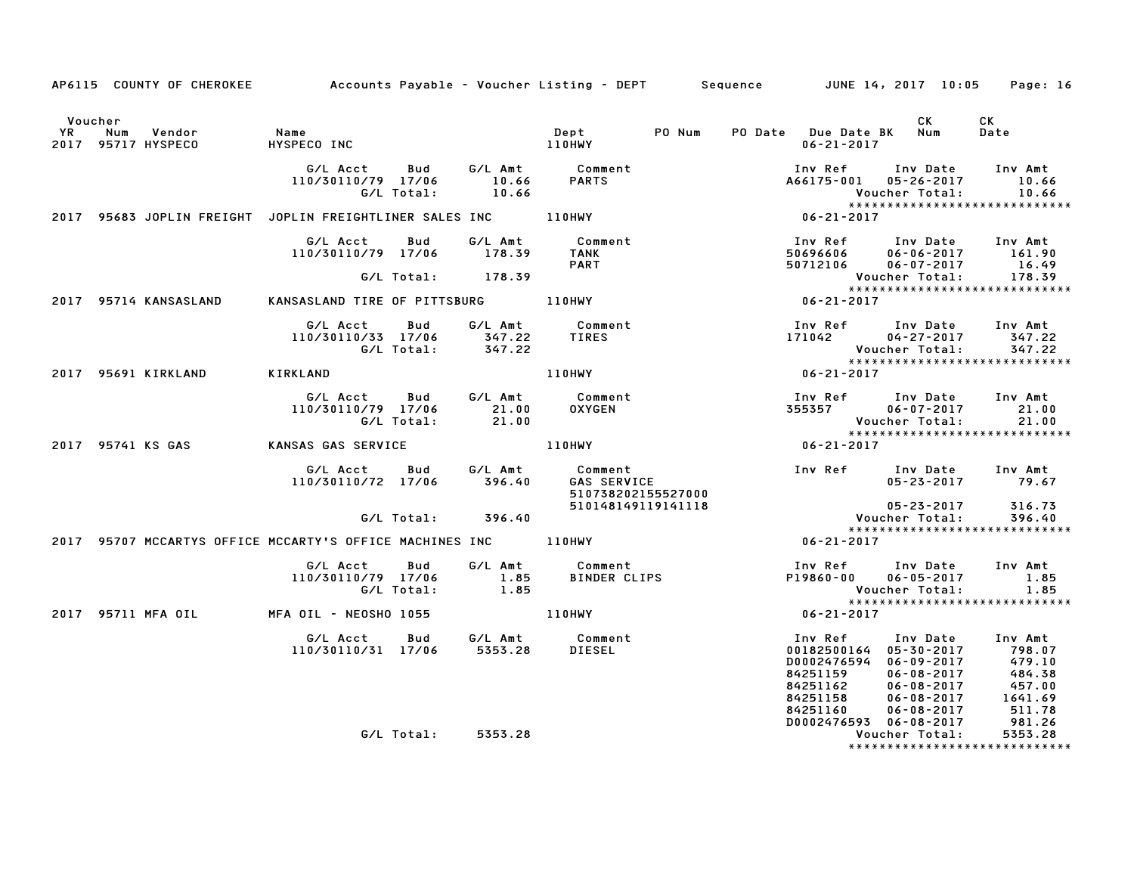|                      | AP6115 COUNTY OF CHEROKEE Accounts Payable - Voucher Listing - DEPT Sequence JUNE 14, 2017 10:05 |                                                                        |                    |                                             |                                                                                                                  |        |                                                         |                                                                                                                                              | Page: 16                                                                   |
|----------------------|--------------------------------------------------------------------------------------------------|------------------------------------------------------------------------|--------------------|---------------------------------------------|------------------------------------------------------------------------------------------------------------------|--------|---------------------------------------------------------|----------------------------------------------------------------------------------------------------------------------------------------------|----------------------------------------------------------------------------|
| Voucher<br><b>YR</b> | Num<br>Vendor<br>2017 95717 HYSPECO                                                              | Name<br>HYSPECO INC                                                    |                    |                                             | Dept<br>110HWY                                                                                                   | PO Num | PO Date Due Date BK Num<br>$06 - 21 - 2017$             | CK                                                                                                                                           | CK<br>Date                                                                 |
|                      |                                                                                                  | G/L Acct Bud<br>110/30110/79 17/06<br>G/L Total:                       |                    | 10.66<br>10.66                              | G/L Amt Comment<br>10.66 PARTS                                                                                   |        | Inv Ref                                                 | Inv Date<br>A66175-001 05-26-2017<br>Voucher Total:                                                                                          | Inv Amt<br>10.66<br>10.66                                                  |
|                      |                                                                                                  | 2017 95683 JOPLIN FREIGHT JOPLIN FREIGHTLINER SALES INC 110HWY         |                    |                                             |                                                                                                                  |        | $06 - 21 - 2017$                                        | *****************************                                                                                                                |                                                                            |
|                      |                                                                                                  | G/L Acct<br>110/30110/79 17/06                                         | Bud                | G/L Amt<br>178.39                           | Comment<br><b>TANK</b><br><b>PART</b>                                                                            |        | 50696606<br>50712106                                    | Inv Ref      Inv Date     Inv Amt<br>$06 - 06 - 2017$ 161.90<br>$06 - 07 - 2017$                                                             | 16.49                                                                      |
|                      |                                                                                                  |                                                                        | G/L Total: 178.39  |                                             |                                                                                                                  |        |                                                         | Voucher Total:                                                                                                                               | 178.39                                                                     |
|                      | 2017 95714 KANSASLAND                                                                            | KANSASLAND TIRE OF PITTSBURG 110HWY                                    |                    |                                             |                                                                                                                  |        | $06 - 21 - 2017$                                        | ******************************                                                                                                               |                                                                            |
|                      |                                                                                                  | G/L Acct<br>110/30110/33 17/06 347.22<br>G/L Total:                    | Bud                | 347.22                                      | G/L Amt Comment<br><b>TIRES</b>                                                                                  |        | 171042                                                  | Inv Ref Inv Date Inv Amt<br>04-27-2017 347.22<br>Voucher Total:<br>*****************************                                             | 347.22                                                                     |
|                      | 2017 95691 KIRKLAND                                                                              | KIRKLAND                                                               |                    |                                             | 110HWY                                                                                                           |        | $06 - 21 - 2017$                                        |                                                                                                                                              |                                                                            |
|                      |                                                                                                  | G/L Acct Bud<br>110/30110/79 17/06<br>G/L Total:                       |                    | G/L Amt<br>21.00<br>21.00                   | Comment<br><b>OXYGEN</b>                                                                                         |        |                                                         | Inv Ref       Inv Date     Inv Amt<br>355357           06-07-2017            21.00<br>Voucher Total: 21.00<br>*****************************  |                                                                            |
|                      | 2017 95741 KS GAS                                                                                | KANSAS GAS SERVICE                                                     |                    |                                             | 110HWY                                                                                                           |        | $06 - 21 - 2017$                                        |                                                                                                                                              |                                                                            |
|                      |                                                                                                  | G/L Acct<br>110/30110/72 17/06                                         |                    | 396.40                                      | Bud G/LAmt Comment<br>17/06 396.60 GAS SERVICE<br><b>GAS SERVICE</b><br>510738202155527000<br>510148149119141118 |        |                                                         | Inv Ref Inv Date Inv Amt<br>05-23-2017 79.67<br>$05 - 23 - 2017$                                                                             | 316.73                                                                     |
|                      |                                                                                                  |                                                                        | G/L Total: 396.40  |                                             |                                                                                                                  |        |                                                         | Voucher Total:                                                                                                                               | 396.40                                                                     |
|                      |                                                                                                  | 2017 95707 MCCARTYS OFFICE MCCARTY'S OFFICE MACHINES INC 110HWY        |                    |                                             |                                                                                                                  |        | $06 - 21 - 2017$                                        | *****************************                                                                                                                |                                                                            |
|                      |                                                                                                  | G/L Acct<br>110/30110/79 17/06<br>G/L Total:                           | Bud                | $\begin{array}{c} 1.85 \\ 1.85 \end{array}$ | G/L Amt Comment<br>1.85 BINDER CLI<br>BINDER CLIPS                                                               |        | P19860-00                                               | Inv Ref      Inv Date<br>$06 - 05 - 2017$<br>Voucher Total:<br>*****************************                                                 | Inv Amt<br>1.85<br>1.85                                                    |
|                      | 2017 95711 MFA OIL                                                                               | MFA OIL - NEOSHO 1055                                                  |                    | <b>110HWY</b>                               |                                                                                                                  |        | $06 - 21 - 2017$                                        |                                                                                                                                              |                                                                            |
|                      |                                                                                                  | G/L Acct  Bud  G/L Amt  Comment<br>110/30110/31 17/06  5353.28  DIESEL |                    |                                             | <b>DIESEL</b>                                                                                                    |        | Inv Ref<br>84251159<br>84251162<br>84251158<br>84251160 | Inv Date<br>00182500164 05-30-2017<br>D0002476594 06-09-2017<br>$06 - 08 - 2017$<br>$06 - 08 - 2017$<br>$06 - 08 - 2017$<br>$06 - 08 - 2017$ | Inv Amt<br>798.07<br>479.10<br>$484.38$<br>$457.00$<br>$1641.69$<br>511.78 |
|                      |                                                                                                  |                                                                        | G/L Total: 5353.28 |                                             |                                                                                                                  |        |                                                         | D0002476593 06-08-2017<br>Voucher Total:<br>*****************************                                                                    | 981.26<br>5353.28                                                          |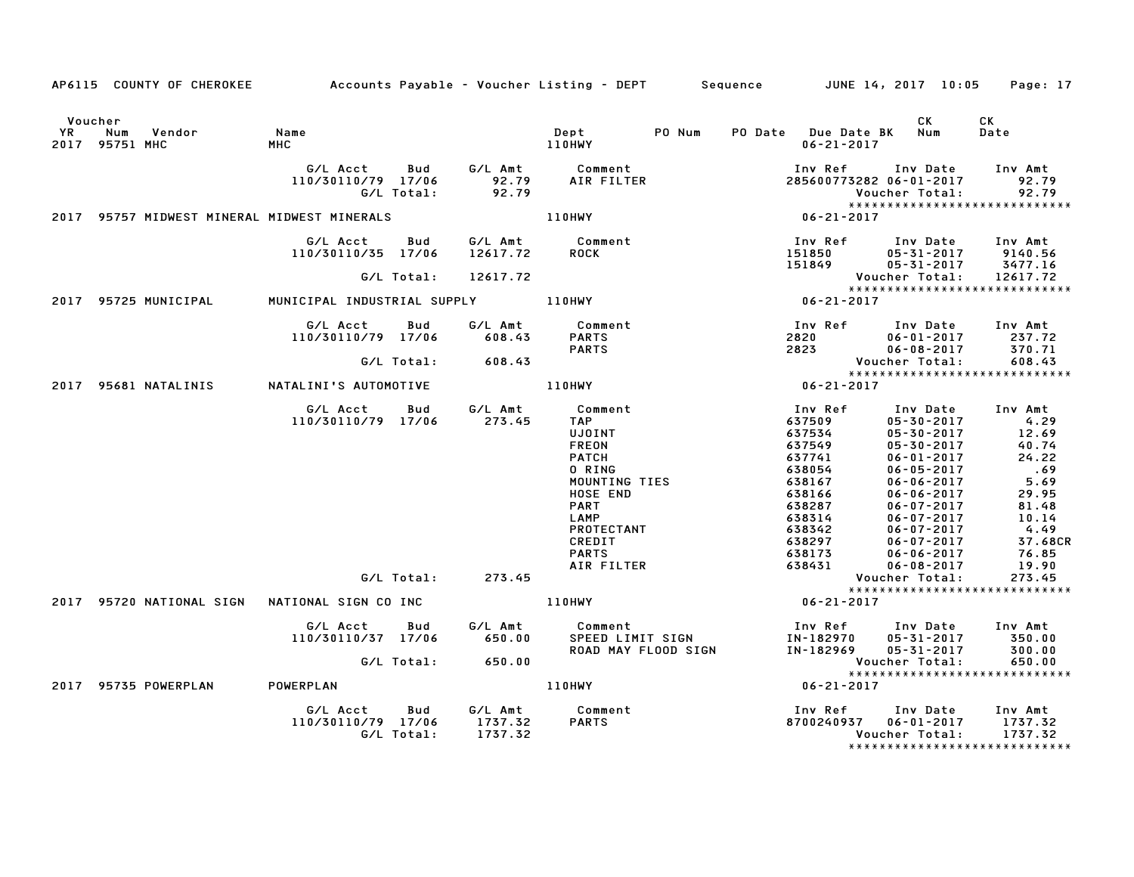|               | AP6115 COUNTY OF CHEROKEE                   |                                                         |                    | Accounts Payable – Voucher Listing – DEPT       Sequence         JUNE 14, 2017 10:05                                                                                                |                                                                                                                                           |                                                                                                                                                                                                                                                                                                                                                | Page: 17                                                                                |
|---------------|---------------------------------------------|---------------------------------------------------------|--------------------|-------------------------------------------------------------------------------------------------------------------------------------------------------------------------------------|-------------------------------------------------------------------------------------------------------------------------------------------|------------------------------------------------------------------------------------------------------------------------------------------------------------------------------------------------------------------------------------------------------------------------------------------------------------------------------------------------|-----------------------------------------------------------------------------------------|
| Voucher<br>YR | Num<br>Vendor<br>2017 95751 MHC             | Name<br>MHC                                             |                    | PO Num<br>Dept<br>110HWY                                                                                                                                                            | PO Date Due Date BK Num<br>$06 - 21 - 2017$                                                                                               | CK<br>СK<br>Date                                                                                                                                                                                                                                                                                                                               |                                                                                         |
|               |                                             | G/L Acct Bud<br>110/30110/79 17/06<br>G/L Total:        | 92.79              | G/L Amt          Comment<br>92.79       AIR FILTER<br>AIR FILTER                                                                                                                    | Inv Ref<br>285600773282 06-01-2017                                                                                                        | Inv Amt<br>Inv Date<br>Voucher Total:                                                                                                                                                                                                                                                                                                          | 92.79<br>92.79                                                                          |
|               | 2017 95757 MIDWEST MINERAL MIDWEST MINERALS |                                                         | <b>110HWY</b>      |                                                                                                                                                                                     | $06 - 21 - 2017$                                                                                                                          | *****************************                                                                                                                                                                                                                                                                                                                  |                                                                                         |
|               |                                             | G/L Acct Bud<br>110/30110/35 17/06                      | 12617.72           | G/L Amt Comment<br><b>ROCK</b>                                                                                                                                                      | Inv Ref<br>151850                                                                                                                         | Inv Date<br>Inv Amt<br>05-31-2017 9140.56                                                                                                                                                                                                                                                                                                      |                                                                                         |
|               |                                             | G/L Total:                                              | 12617.72           |                                                                                                                                                                                     | 151849                                                                                                                                    | 3477.16<br>$05 - 31 - 2017$<br>Voucher Total:<br>12617.72                                                                                                                                                                                                                                                                                      |                                                                                         |
|               | 2017 95725 MUNICIPAL                        |                                                         |                    |                                                                                                                                                                                     | Vouc<br>* * * *<br>06-21-2017                                                                                                             | *****************************                                                                                                                                                                                                                                                                                                                  |                                                                                         |
|               |                                             | G/L Acct<br>Bud<br>110/30110/79 17/06                   | 608.43             | G/L Amt Comment<br><b>PARTS</b><br><b>PARTS</b>                                                                                                                                     | 2820 1.1.1 Date<br>2823 06-08-2017<br>2823 Voucher Total                                                                                  | Inv Ref      Inv Date     Inv Amt<br>$06 - 01 - 2017$                                                                                                                                                                                                                                                                                          | 237.72<br>370.71                                                                        |
|               |                                             | G/L Total:                                              | 608.43             |                                                                                                                                                                                     |                                                                                                                                           | *****************************                                                                                                                                                                                                                                                                                                                  | 608.43                                                                                  |
|               | 2017 95681 NATALINIS                        | NATALINI'S AUTOMOTIVE 110HWY                            |                    |                                                                                                                                                                                     | $06 - 21 - 2017$                                                                                                                          |                                                                                                                                                                                                                                                                                                                                                |                                                                                         |
|               |                                             | G/L Acct Bud<br>110/30110/79 17/06 273.45<br>G/L Total: | G/L Amt<br>273.45  | Comment<br><b>TAP</b><br>UJOINT<br><b>FREON</b><br><b>PATCH</b><br>0 RING<br>MOUNTING TIES<br>HOSE END<br><b>PART</b><br>LAMP<br>PROTECTANT<br>CREDIT<br><b>PARTS</b><br>AIR FILTER | Inv Ref<br>637509<br>637534<br>637549<br>637741<br>638054<br>638167<br>638166<br>638287<br>638314<br>638342<br>638297<br>638173<br>638431 | Inv Date<br>Inv Amt<br>$05 - 30 - 2017$<br>$4.29$<br>$12.69$<br>$05 - 30 - 2017$<br>40.74<br>$05 - 30 - 2017$<br>$06 - 01 - 2017$<br>.69<br>$06 - 05 - 2017$<br>$06 - 06 - 2017$<br>$06 - 06 - 2017$<br>$06 - 07 - 2017$<br>$06 - 07 - 2017$<br>$06 - 07 - 2017$<br>$06 - 07 - 2017$<br>$06 - 06 - 2017$<br>$06 - 08 - 2017$<br>Voucher Total: | 24.22<br>5.69<br>29.95<br>81.48<br>10.14<br>4.49<br>37.68CR<br>76.85<br>19.90<br>273.45 |
|               |                                             |                                                         |                    |                                                                                                                                                                                     |                                                                                                                                           | *****************************                                                                                                                                                                                                                                                                                                                  |                                                                                         |
|               | 2017 95735 POWERPLAN                        | G/L Acct Bud<br>110/30110/37 17/06<br>POWERPLAN         | G/L Amt<br>650.00  | Comment<br><b>COMMETTS</b><br>SPEED LIMIT SIGN<br>ROAD MAY FLOOD SIGN<br><b>110HWY</b>                                                                                              | $06 - 21 - 2017$<br>IN-182970<br>IN-182969<br>$06 - 21 - 2017$                                                                            | Inv Ref      Inv Date     Inv Amt<br>05-31-2017<br>05-31-2017<br>Voucher Total:<br>*****************************                                                                                                                                                                                                                               | 350.00<br>300.00<br>650.00                                                              |
|               |                                             | G/L Acct<br>Bud<br>110/30110/79 17/06<br>G/L Total:     | 1737.32<br>1737.32 | G/L Amt Comment<br><b>PARTS</b>                                                                                                                                                     | Inv Ref<br>8700240937                                                                                                                     | Inv Amt<br>Inv Date<br>$06 - 01 - 2017$<br>1737.32<br>1737.32<br>Voucher Total:<br>*****************************                                                                                                                                                                                                                               |                                                                                         |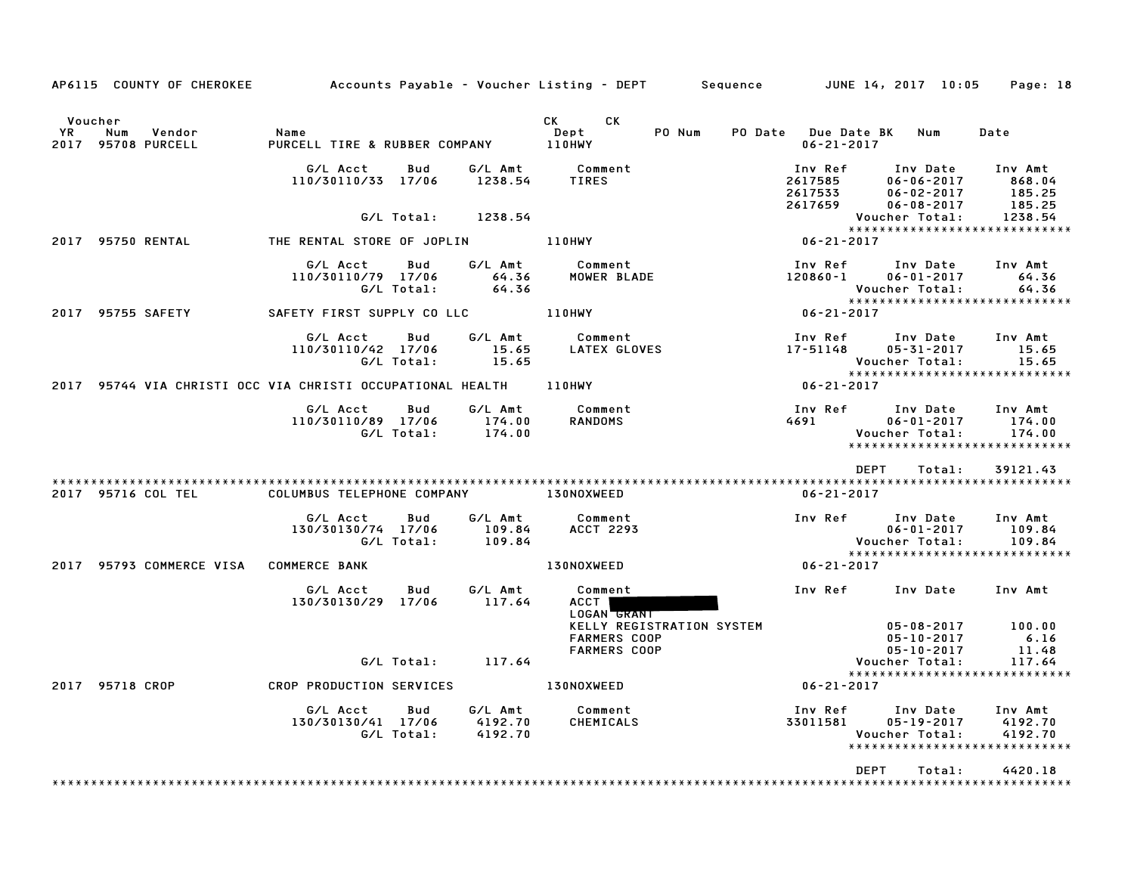|            | AP6115 COUNTY OF CHEROKEE                                         |                                              |                   |                               | Accounts Payable – Voucher Listing – DEPT         Sequence         JUNE 14, 2017  10:05     Page: 18 |                                             |                                                          |                                                                |
|------------|-------------------------------------------------------------------|----------------------------------------------|-------------------|-------------------------------|------------------------------------------------------------------------------------------------------|---------------------------------------------|----------------------------------------------------------|----------------------------------------------------------------|
| YR<br>2017 | Voucher<br>Num<br>Vendor<br>95708 PURCELL                         | Name<br>PURCELL TIRE & RUBBER COMPANY 110HWY |                   |                               | CK CK<br>PO Num<br>Dept                                                                              | PO Date Due Date BK Num<br>$06 - 21 - 2017$ |                                                          | Date                                                           |
|            |                                                                   | G/L Acct<br>110/30110/33 17/06               | Bud               | 1238.54                       | G/L Amt Comment<br>TIRES                                                                             | Inv Ref<br>2617585<br>2617533               | Inv Date<br>$06 - 06 - 2017$<br>$06 - 02 - 2017$         | Inv Amt<br>868.04<br>185.25                                    |
|            |                                                                   |                                              | G/L Total:        | 1238.54                       |                                                                                                      | 2617659                                     | $06 - 08 - 2017$<br>Voucher Total:                       | 185.25<br>1238.54                                              |
|            | 2017 95750 RENTAL                                                 | THE RENTAL STORE OF JOPLIN A REALLY          |                   |                               |                                                                                                      | $06 - 21 - 2017$                            |                                                          |                                                                |
|            |                                                                   | G/L Acct<br>110/30110/79 17/06               | Bud<br>G/L Total: | G/L Amt<br>64.36<br>64.36     | Comment<br>MOWER BLADE                                                                               | Inv Ref<br>120860-1                         | Inv Date<br>$06 - 01 - 2017$<br>Voucher Total:           | Inv Amt<br>64.36<br>64.36                                      |
|            | 2017 95755 SAFETY                                                 | SAFETY FIRST SUPPLY CO LLC 110HWY            |                   |                               |                                                                                                      | $06 - 21 - 2017$                            |                                                          | ******************************                                 |
|            |                                                                   | G/L Acct<br>110/30110/42 17/06               | Bud<br>G/L Total: | G/L Amt<br>15.65<br>15.65     | Comment<br>LATEX GLOVES                                                                              | Inv Ref<br>17-51148                         | Inv Date<br>05-31-2017<br>Voucher Total:                 | Inv Amt<br>15.65<br>15.65                                      |
|            | 2017 95744 VIA CHRISTI OCC VIA CHRISTI OCCUPATIONAL HEALTH 110HWY |                                              |                   |                               |                                                                                                      | $06 - 21 - 2017$                            |                                                          | *****************************                                  |
|            |                                                                   | G/L Acct<br>110/30110/89 17/06               | Bud<br>G/L Total: | G/L Amt<br>174.00<br>174.00   | Comment<br>RANDOMS                                                                                   | Inv Ref                                     | Inv Date<br>$06 - 01 - 2017$<br>Voucher Total:           | Inv Amt<br>174.00<br>174.00<br>*****************************   |
|            |                                                                   |                                              |                   |                               |                                                                                                      | DEPT                                        | Total:                                                   | 39121.43                                                       |
|            | 2017 95716 COL TEL                                                | COLUMBUS TELEPHONE COMPANY 130NOXWEED        |                   |                               |                                                                                                      | $06 - 21 - 2017$                            |                                                          |                                                                |
|            |                                                                   | G/L Acct<br>130/30130/74 17/06<br>G/L Total: | Bud               | G/L Amt<br>109.84<br>109.84   | Comment<br><b>ACCT 2293</b>                                                                          | Inv Ref                                     | Inv Date<br>$06 - 01 - 2017$<br>Voucher Total:           | Inv Amt<br>109.84<br>109.84                                    |
|            | 2017 95793 COMMERCE VISA COMMERCE BANK                            |                                              |                   |                               | <b>130NOXWEED</b>                                                                                    | 06-21-2017                                  |                                                          |                                                                |
|            |                                                                   | G/L Acct<br>130/30130/29 17/06               | Bud               | G/L Amt<br>117.64             | Comment<br>ACCT  <br>LOGAN GRANT                                                                     |                                             | Inv Ref Inv Date Inv Amt                                 |                                                                |
|            |                                                                   |                                              |                   |                               | KELLY REGISTRATION SYSTEM<br><b>FARMERS COOP</b><br><b>FARMERS COOP</b>                              |                                             | $05 - 08 - 2017$<br>$05 - 10 - 2017$<br>$05 - 10 - 2017$ | 100.00<br>6.16<br>11.48                                        |
|            |                                                                   |                                              |                   | $G/L$ Total: $117.64$         |                                                                                                      |                                             | Voucher Total:<br>*****************************          | 117.64                                                         |
|            | 2017 95718 CROP                                                   | CROP PRODUCTION SERVICES 130NOXWEED          |                   |                               |                                                                                                      | $06 - 21 - 2017$                            |                                                          |                                                                |
|            |                                                                   | G/L Acct<br>130/30130/41 17/06               | Bud<br>G/L Total: | G/L Amt<br>4192.70<br>4192.70 | Comment<br>CHEMICALS                                                                                 | Inv Ref      Inv Date<br>33011581           | $05 - 19 - 2017$<br>Voucher Total:                       | Inv Amt<br>4192.70<br>4192.70<br>***************************** |
|            |                                                                   |                                              |                   |                               |                                                                                                      | <b>DEPT</b>                                 | Total:                                                   | 4420.18<br>* * * * * * * * * * *                               |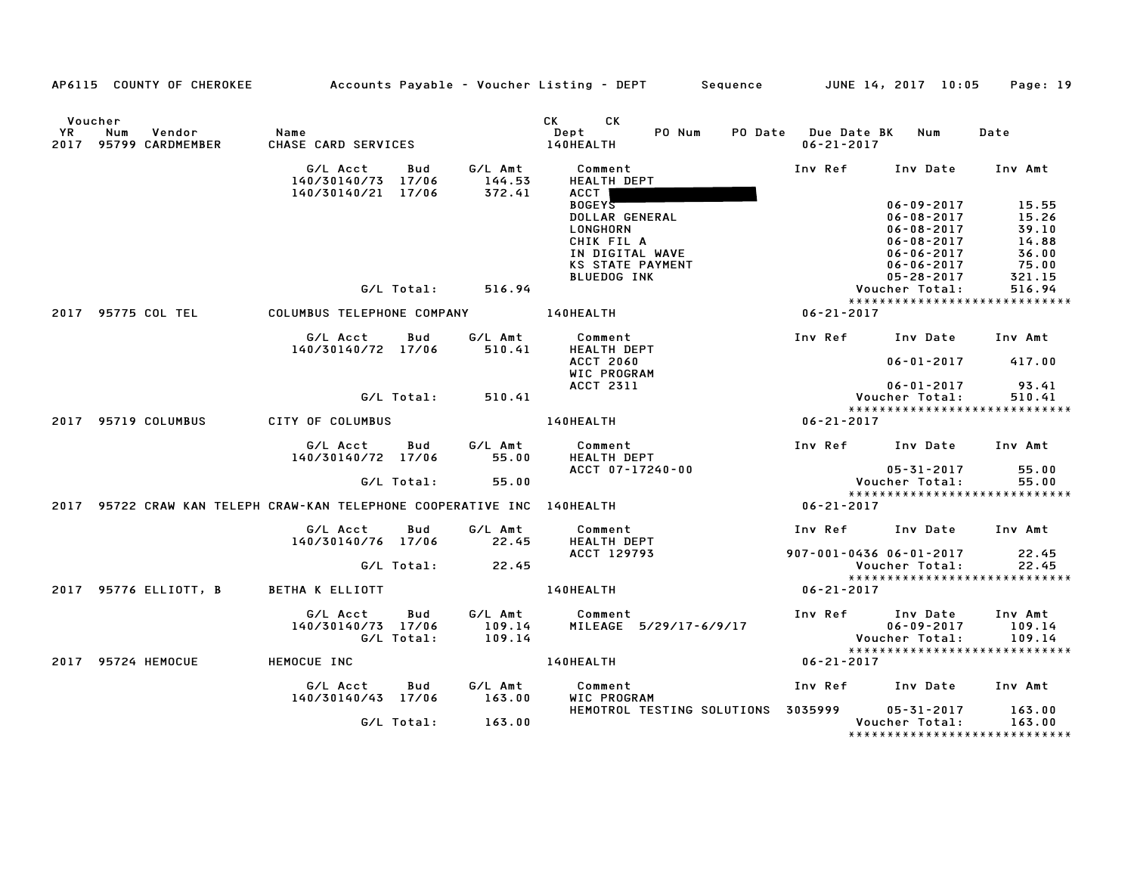|    |                                                                         |                                |                   |                             | AP6115 COUNTY OF CHEROKEE Accounts Payable - Voucher Listing - DEPT Sequence JUNE 14, 2017 10:05 |                                         |                                                                                                  | Page: 19                                          |
|----|-------------------------------------------------------------------------|--------------------------------|-------------------|-----------------------------|--------------------------------------------------------------------------------------------------|-----------------------------------------|--------------------------------------------------------------------------------------------------|---------------------------------------------------|
| YR | Voucher<br>Num<br>Vendor<br>2017 95799 CARDMEMBER                       | Name<br>CHASE CARD SERVICES    |                   |                             | CK CK<br>PO Num<br>Dept<br>140HEALTH                                                             | PO Date Due Date BK<br>$06 - 21 - 2017$ | Num                                                                                              | Date                                              |
|    |                                                                         | G/L Acct<br>140/30140/73 17/06 | Bud               | 144.53                      | G/L Amt Comment<br>HEALTH DEPT                                                                   | Inv Ref                                 | Inv Date                                                                                         | Inv Amt                                           |
|    |                                                                         | 140/30140/21 17/06             |                   | 372.41                      | ACCT  <br><b>BOGEYS</b><br>DOLLAR GENERAL<br>LONGHORN<br>CHIK FIL A<br>IN DIGITAL WAVE           |                                         | $06 - 09 - 2017$<br>$06 - 08 - 2017$<br>$06 - 08 - 2017$<br>$06 - 08 - 2017$<br>$06 - 06 - 2017$ | 15.55<br>15.26<br>39.10<br>14.88<br>36.00         |
|    |                                                                         |                                |                   |                             | <b>KS STATE PAYMENT</b><br><b>BLUEDOG INK</b>                                                    |                                         | $06 - 06 - 2017$<br>05-28-2017                                                                   | 75.00<br>321.15                                   |
|    |                                                                         |                                | G/L Total:        | 516.94                      |                                                                                                  |                                         | Voucher Total:                                                                                   | 516.94                                            |
|    | 2017 95775 COL TEL                                                      | COLUMBUS TELEPHONE COMPANY     |                   |                             | <b>140HEALTH</b>                                                                                 | $06 - 21 - 2017$                        |                                                                                                  | *****************************                     |
|    |                                                                         |                                |                   |                             |                                                                                                  |                                         |                                                                                                  |                                                   |
|    |                                                                         | G/L Acct<br>140/30140/72 17/06 | Bud               | G/L Amt<br>510.41           | Comment<br><b>HEALTH DEPT</b>                                                                    |                                         | Inv Ref Inv Date                                                                                 | Inv Amt                                           |
|    |                                                                         |                                |                   |                             | <b>ACCT 2060</b><br><b>WIC PROGRAM</b>                                                           |                                         | $06 - 01 - 2017$                                                                                 | 417.00                                            |
|    |                                                                         |                                |                   |                             | ACCT 2311                                                                                        |                                         | 06-01-2017                                                                                       | 93.41                                             |
|    |                                                                         |                                | G/L Total:        | 510.41                      |                                                                                                  |                                         | Voucher Total:                                                                                   | 510.41<br>*****************************           |
|    | 2017 95719 COLUMBUS                                                     | CITY OF COLUMBUS               |                   |                             | 140HEALTH                                                                                        | $06 - 21 - 2017$                        |                                                                                                  |                                                   |
|    |                                                                         |                                |                   |                             |                                                                                                  |                                         |                                                                                                  |                                                   |
|    |                                                                         | G/L Acct<br>140/30140/72 17/06 | Bud               | G/L Amt<br>55.00            | Comment<br><b>HEALTH DEPT</b>                                                                    |                                         | Inv Ref Inv Date Inv Amt                                                                         |                                                   |
|    |                                                                         |                                | G/L Total:        | 55.00                       | ACCT 07-17240-00                                                                                 |                                         | 05-31-2017<br>Voucher Total:                                                                     | 55.00<br>55.00                                    |
|    |                                                                         |                                |                   |                             |                                                                                                  |                                         |                                                                                                  | *****************************                     |
|    | 2017 95722 CRAW KAN TELEPH CRAW-KAN TELEPHONE COOPERATIVE INC 140HEALTH |                                |                   |                             |                                                                                                  | $06 - 21 - 2017$                        |                                                                                                  |                                                   |
|    |                                                                         | G/L Acct<br>140/30140/76 17/06 | Bud               | G/L Amt<br>22.45            | Comment<br><b>HEALTH DEPT</b>                                                                    |                                         | Inv Ref      Inv Date     Inv Amt                                                                |                                                   |
|    |                                                                         |                                | G/L Total:        | 22.45                       | ACCT 129793                                                                                      |                                         | 907-001-0436 06-01-2017<br>Voucher Total:                                                        | 22.45<br>22.45                                    |
|    | 2017 95776 ELLIOTT, B BETHA K ELLIOTT                                   |                                |                   |                             | 140HEALTH                                                                                        | $06 - 21 - 2017$                        |                                                                                                  |                                                   |
|    |                                                                         | G/L Acct<br>140/30140/73 17/06 | Bud<br>G/L Total: | G/L Amt<br>109.14<br>109.14 | Comment<br>MILEAGE 5/29/17-6/9/17                                                                |                                         | Inv Ref Inv Date<br>uiv Date<br>06-09-2017<br>Voucher Total.                                     | Inv Amt<br>109.14<br>109.14                       |
|    | 2017 95724 HEMOCUE                                                      | <b>HEMOCUE INC</b>             |                   |                             | 140HEALTH                                                                                        | 06-21-2017                              |                                                                                                  |                                                   |
|    |                                                                         | G/L Acct<br>140/30140/43 17/06 | Bud               | G/L Amt<br>163.00           | Comment<br>WIC PROGRAM                                                                           |                                         | Inv Ref Inv Date                                                                                 | Inv Amt                                           |
|    |                                                                         |                                | G/L Total:        | 163.00                      | HEMOTROL TESTING SOLUTIONS 3035999                                                               |                                         | 05-31-2017<br>Voucher Total:                                                                     | 163.00<br>163.00<br>***************************** |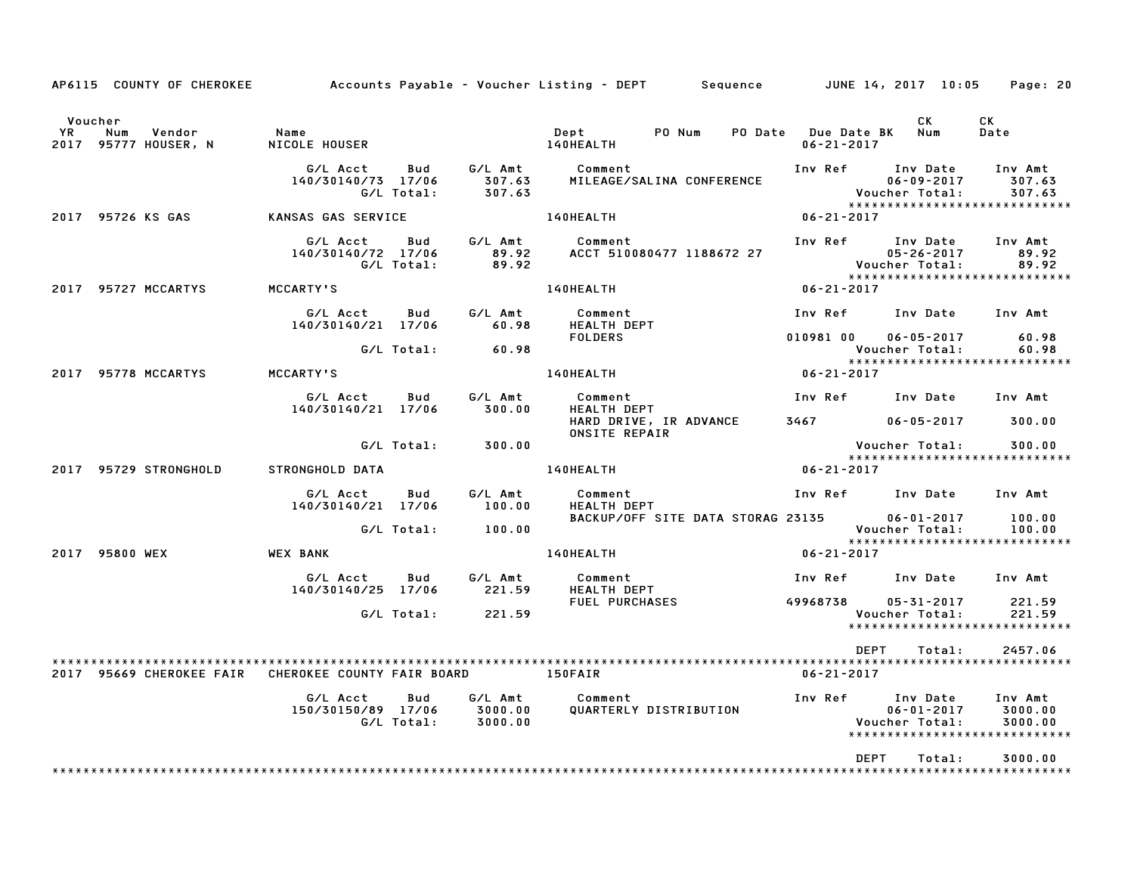|                | AP6115 COUNTY OF CHEROKEE                                     |                                |                          |                               | Accounts Payable – Voucher Listing – DEPT         Sequence         JUNE 14, 2017  10:05 |                                                  |                                    | Page: 20                                                                   |
|----------------|---------------------------------------------------------------|--------------------------------|--------------------------|-------------------------------|-----------------------------------------------------------------------------------------|--------------------------------------------------|------------------------------------|----------------------------------------------------------------------------|
| Voucher<br>YR. | Num<br>Vendor<br>2017 95777 HOUSER, N                         | Name<br>NICOLE HOUSER          |                          |                               | PO Num<br>Dept<br>140HEALTH                                                             | PO Date Due Date BK<br>$06 - 21 - 2017$          | CK<br>Num                          | CK<br>Date                                                                 |
|                |                                                               | G/L Acct<br>140/30140/73 17/06 | <b>Bud</b><br>G/L Total: | G/L Amt<br>307.63<br>307.63   | Comment<br>MILEAGE/SALINA CONFERENCE                                                    | Inv Ref Inv Date                                 | $06 - 09 - 2017$                   | Inv Amt<br>307.63<br>Voucher Total: 307.63<br>**************************** |
|                | 2017 95726 KS GAS                                             | KANSAS GAS SERVICE             |                          |                               | 140HEALTH                                                                               | $06 - 21 - 2017$                                 |                                    |                                                                            |
|                |                                                               | G/L Acct<br>140/30140/72 17/06 | <b>Bud</b><br>G/L Total: | G/L Amt<br>89.92<br>89.92     | Comment<br>ACCT 510080477 1188672 27                                                    | Inv Ref Inv Date                                 | $05 - 26 - 2017$<br>Voucher Total: | Inv Amt<br>89.92<br>89.92<br>*****************************                 |
|                | 2017 95727 MCCARTYS                                           | <b>MCCARTY'S</b>               |                          |                               | 140HEALTH                                                                               | $06 - 21 - 2017$                                 |                                    |                                                                            |
|                |                                                               | G/L Acct<br>140/30140/21 17/06 | Bud                      | G/L Amt<br>60.98              | Comment<br>HEALTH DEPT                                                                  | Inv Ref Inv Date                                 |                                    | Inv Amt                                                                    |
|                |                                                               |                                | G/L Total:               | 60.98                         | <b>FOLDERS</b>                                                                          | 010981 00                                        | $06 - 05 - 2017$<br>Voucher Total: | 60.98<br>60.98<br>*****************************                            |
|                | 2017 95778 MCCARTYS                                           | MCCARTY'S                      |                          |                               | 140HEALTH                                                                               | $06 - 21 - 2017$                                 |                                    |                                                                            |
|                |                                                               | G/L Acct<br>140/30140/21 17/06 | Bud                      | G/L Amt<br>300.00             | Comment<br><b>HEALTH DEPT</b>                                                           | Inv Ref Inv Date                                 |                                    | Inv Amt                                                                    |
|                |                                                               |                                |                          |                               | HARD DRIVE, IR ADVANCE<br><b>ONSITE REPAIR</b>                                          |                                                  | $06 - 05 - 2017$ 300.00            |                                                                            |
|                |                                                               |                                | G/L Total:               | 300.00                        |                                                                                         |                                                  | Voucher Total:                     | 300.00                                                                     |
|                | 2017 95729 STRONGHOLD                                         | STRONGHOLD DATA                |                          |                               | 140HEALTH                                                                               | $06 - 21 - 2017$                                 |                                    | *****************************                                              |
|                |                                                               | G/L Acct<br>140/30140/21 17/06 | Bud                      | G/L Amt<br>100.00             | Comment<br><b>HEALTH DEPT</b>                                                           |                                                  | Inv Ref Inv Date                   | Inv Amt                                                                    |
|                |                                                               |                                | G/L Total:               | 100.00                        | BACKUP/OFF SITE DATA STORAG 23135                                                       |                                                  | $06 - 01 - 2017$<br>Voucher Total: | 100.00<br>100.00<br>*****************************                          |
|                | 2017 95800 WEX                                                | WEX BANK                       |                          |                               | 140HEALTH                                                                               | $06 - 21 - 2017$                                 |                                    |                                                                            |
|                |                                                               | G/L Acct<br>140/30140/25 17/06 | Bud                      | G/L Amt<br>221.59             | Comment<br><b>HEALTH DEPT</b>                                                           | Inv Ref      Inv Date                            |                                    | Inv Amt                                                                    |
|                |                                                               |                                | G/L Total:               | 221.59                        | FUEL PURCHASES                                                                          | 49968738                                         | 05-31-2017<br>Voucher Total:       | 221.59<br>221.59<br>******************************                         |
|                | 2017 95669 CHEROKEE FAIR CHEROKEE COUNTY FAIR BOARD 6 150FAIR |                                |                          |                               |                                                                                         | <b>DEPT</b><br>$06 - 21 - 2017$                  | Total:                             | 2457.06                                                                    |
|                |                                                               | G/L Acct<br>150/30150/89 17/06 | Bud<br>G/L Total:        | G/L Amt<br>3000.00<br>3000.00 | Comment<br>QUARTERLY DISTRIBUTION                                                       | Inv Ref Inv Date<br>Ub-ul-ZVI.<br>Voucher Total: |                                    | Inv Amt<br>3000.00<br>3000.00<br>*****************************             |
|                |                                                               |                                |                          |                               |                                                                                         | DEPT                                             | Total:                             | 3000.00                                                                    |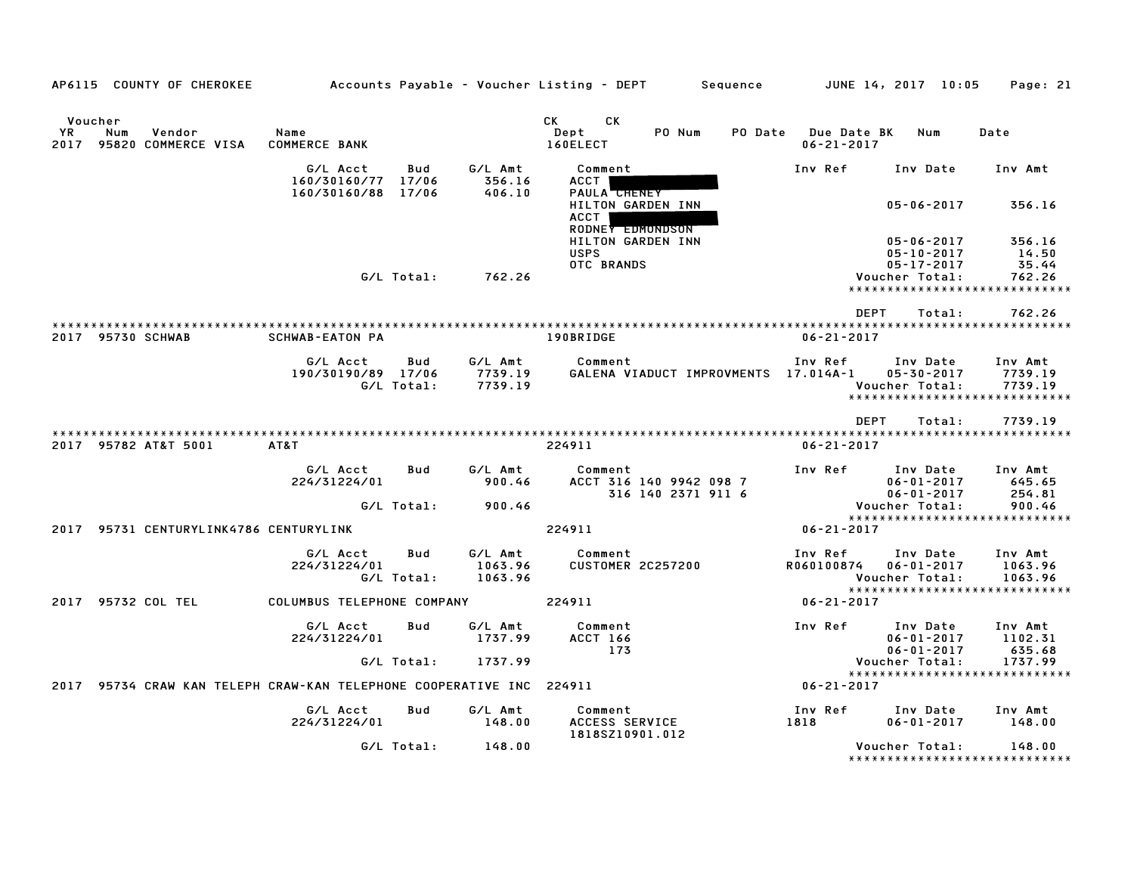| AP6115 COUNTY OF CHEROKEE                                            |                                |                   |                               | Accounts Payable – Voucher Listing – DEPT                          | Sequence                                      |                                        | JUNE 14, 2017 10:05                                      | Page: 21                                                       |
|----------------------------------------------------------------------|--------------------------------|-------------------|-------------------------------|--------------------------------------------------------------------|-----------------------------------------------|----------------------------------------|----------------------------------------------------------|----------------------------------------------------------------|
|                                                                      |                                |                   |                               |                                                                    |                                               |                                        |                                                          |                                                                |
| Voucher<br>YR.<br>Num<br>Vendor<br>2017 95820 COMMERCE VISA          | Name<br><b>COMMERCE BANK</b>   |                   |                               | СK<br>СK<br>Dept<br>160ELECT                                       | PO Num<br>PO Date                             | <b>Due Date BK</b><br>$06 - 21 - 2017$ | Num                                                      | Date                                                           |
|                                                                      | G/L Acct<br>160/30160/77       | Bud<br>17/06      | G/L Amt<br>356.16             | Comment<br>ACCT                                                    |                                               | Inv Ref                                | Inv Date                                                 | Inv Amt                                                        |
|                                                                      | 160/30160/88                   | 17/06             | 406.10                        | PAULA <b>CHENEY</b><br>HILTON GARDEN INN<br>ACCT                   |                                               |                                        | $05 - 06 - 2017$                                         | 356.16                                                         |
|                                                                      |                                |                   |                               | RODNEY EDMONDSON<br>HILTON GARDEN INN<br><b>USPS</b><br>OTC BRANDS |                                               |                                        | $05 - 06 - 2017$<br>$05 - 10 - 2017$<br>$05 - 17 - 2017$ | 356.16<br>14.50<br>35.44                                       |
|                                                                      |                                | G/L Total:        | 762.26                        |                                                                    |                                               |                                        | Voucher Total:<br>*****************************          | 762.26                                                         |
|                                                                      |                                |                   |                               |                                                                    |                                               | <b>DEPT</b>                            | Total:                                                   | 762.26                                                         |
| 2017 95730 SCHWAB                                                    | <b>SCHWAB-EATON PA</b>         |                   |                               | 190BRIDGE                                                          |                                               | $06 - 21 - 2017$                       |                                                          |                                                                |
|                                                                      | G/L Acct<br>190/30190/89 17/06 | Bud<br>G/L Total: | G/L Amt<br>7739.19<br>7739.19 | Comment                                                            | GALENA VIADUCT IMPROVMENTS 17.014A-1          | Inv Ref                                | Inv Date<br>05-30-2017<br>Voucher Total:                 | Inv Amt<br>7739.19<br>7739.19<br>***************************** |
|                                                                      |                                |                   |                               |                                                                    |                                               |                                        | <b>DEPT</b><br>Total:                                    | 7739.19                                                        |
| 2017 95782 AT&T 5001                                                 | AT&T                           |                   |                               | 224911                                                             |                                               | $06 - 21 - 2017$                       |                                                          |                                                                |
|                                                                      | G/L Acct<br>224/31224/01       | Bud               | G/L Amt<br>900.46             | Comment                                                            | ACCT 316 140 9942 098 7<br>316 140 2371 911 6 | Inv Ref                                | Inv Date<br>$06 - 01 - 2017$<br>$06 - 01 - 2017$         | Inv Amt<br>645.65<br>254.81                                    |
|                                                                      |                                | G/L Total:        | 900.46                        |                                                                    |                                               |                                        | Voucher Total:<br>*****************************          | 900.46                                                         |
| 2017 95731 CENTURYLINK4786 CENTURYLINK                               |                                |                   |                               | 224911                                                             |                                               | $06 - 21 - 2017$                       |                                                          |                                                                |
|                                                                      | G/L Acct<br>224/31224/01       | Bud<br>G/L Total: | G/L Amt<br>1063.96<br>1063.96 | Comment<br><b>CUSTOMER 2C257200</b>                                |                                               | Inv Ref<br>R060100874                  | Inv Date<br>$06 - 01 - 2017$<br>Voucher Total:           | Inv Amt<br>1063.96<br>1063.96                                  |
| 2017 95732 COL TEL                                                   | COLUMBUS TELEPHONE COMPANY     |                   |                               | 224911                                                             |                                               | $06 - 21 - 2017$                       | *****************************                            |                                                                |
|                                                                      | G/L Acct<br>224/31224/01       | Bud               | G/L Amt<br>1737.99            | Comment<br><b>ACCT 166</b><br>173                                  |                                               | Inv Ref                                | Inv Date<br>$06 - 01 - 2017$<br>$06 - 01 - 2017$         | Inv Amt<br>1102.31<br>635.68                                   |
|                                                                      |                                | G/L Total:        | 1737.99                       |                                                                    |                                               |                                        | Voucher Total:<br>*****************************          | 1737.99                                                        |
| 2017 95734 CRAW KAN TELEPH CRAW-KAN TELEPHONE COOPERATIVE INC 224911 |                                |                   |                               |                                                                    |                                               | $06 - 21 - 2017$                       |                                                          |                                                                |
|                                                                      | G/L Acct<br>224/31224/01       | Bud               | G/L Amt<br>148.00             | Comment<br>ACCESS SERVICE<br>1818SZ10901.012                       |                                               | Inv Ref<br>1818                        | Inv Date<br>$06 - 01 - 2017$                             | Inv Amt<br>148.00                                              |
|                                                                      |                                | G/L Total:        | 148.00                        |                                                                    |                                               |                                        | Voucher Total:                                           | 148.00<br>*******************************                      |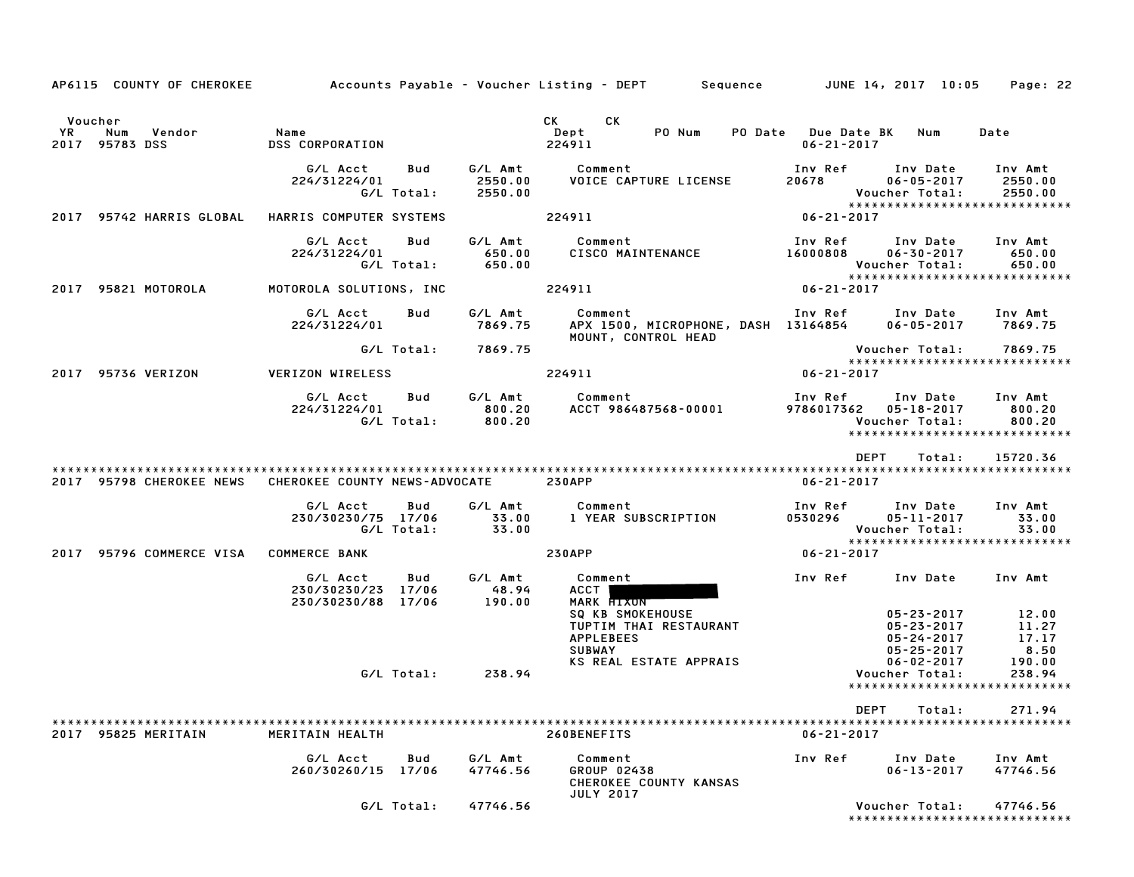|                                                         |                                                             |                               | AP6115 COUNTY OF CHEROKEE Accounts Payable - Voucher Listing - DEPT Sequence JUNE 14, 2017 10:05                                                                                                                                                                 |                                                                                                            | Page: 22                                  |
|---------------------------------------------------------|-------------------------------------------------------------|-------------------------------|------------------------------------------------------------------------------------------------------------------------------------------------------------------------------------------------------------------------------------------------------------------|------------------------------------------------------------------------------------------------------------|-------------------------------------------|
| Voucher<br><b>YR</b><br>Num<br>Vendor<br>2017 95783 DSS | Name<br>DSS CORPORATION                                     |                               | CK<br>CK and the control of the control of the control of the control of the control of the control of the control of the control of the control of the control of the control of the control of the control of the control of the c<br>Dept<br>PO Num<br>224911 | PO Date Due Date BK<br>Num<br>$06 - 21 - 2017$                                                             | Date                                      |
|                                                         | G/L Acct<br>Bud<br>224/31224/01<br>G/L Total:               | G/L Amt<br>2550.00<br>2550.00 | Comment<br>VOICE CAPTURE LICENSE                                                                                                                                                                                                                                 | Inv Ref<br>Inv Date<br>20678<br>$06 - 05 - 2017$<br>Voucher Total:<br>*****************************        | Inv Amt<br>2550.00<br>2550.00             |
| 2017 95742 HARRIS GLOBAL                                | HARRIS COMPUTER SYSTEMS                                     |                               | 224911                                                                                                                                                                                                                                                           | $06 - 21 - 2017$                                                                                           |                                           |
|                                                         | G/L Acct<br>Bud<br>224/31224/01<br>G/L Total:               | G/L Amt<br>650.00<br>650.00   | Comment<br>CISCO MAINTENANCE                                                                                                                                                                                                                                     | Inv Ref<br>Inv Date<br>$06 - 30 - 2017$<br>16000808<br>Voucher Total:<br>*****************************     | Inv Amt<br>650.00<br>650.00               |
| 2017 95821 MOTOROLA                                     | MOTOROLA SOLUTIONS, INC                                     |                               | 224911                                                                                                                                                                                                                                                           | $06 - 21 - 2017$                                                                                           |                                           |
|                                                         | G/L Acct<br>Bud<br>224/31224/01                             | G/L Amt<br>7869.75            | Comment<br>APX 1500, MICROPHONE, DASH 13164854<br>MOUNT, CONTROL HEAD                                                                                                                                                                                            | Inv Ref      Inv Date<br>$06 - 05 - 2017$ 7869.75                                                          | Inv Amt                                   |
|                                                         | G/L Total:                                                  | 7869.75                       |                                                                                                                                                                                                                                                                  | Voucher Total:<br>*****************************                                                            | 7869.75                                   |
| 2017 95736 VERIZON                                      | VERIZON WIRELESS                                            |                               | 224911                                                                                                                                                                                                                                                           | 06-21-2017                                                                                                 |                                           |
|                                                         | G/L Acct<br>Bud<br>224/31224/01<br>G/L Total:               | G/L Amt<br>800.20<br>800.20   | Comment commercial commercial commercial control of the control of the control of the control of the control of the control of the control of the control of the control of the control of the control of the control of the co<br>ACCT 986487568-00001          | Inv Ref<br>Inv Date Inv Amt<br>9786017362<br>05-18-2017<br>Voucher Total:<br>***************************** | 800.20<br>800.20                          |
|                                                         |                                                             |                               |                                                                                                                                                                                                                                                                  | DEPT<br>Total:                                                                                             | 15720.36                                  |
| 2017 95798 CHEROKEE NEWS                                | CHEROKEE COUNTY NEWS-ADVOCATE                               |                               | <b>230APP</b>                                                                                                                                                                                                                                                    | $06 - 21 - 2017$                                                                                           |                                           |
|                                                         | G/L Acct<br>Bud<br>230/30230/75 17/06<br>G/L Total:         | G/L Amt<br>33.00<br>33.00     | Comment<br>1 YEAR SUBSCRIPTION                                                                                                                                                                                                                                   | Inv Ref<br>Inv Date<br>0530296<br>05-11-2017<br>Voucher Total:<br>*****************************            | Inv Amt<br>33.00<br>33.00                 |
| 2017 95796 COMMERCE VISA COMMERCE BANK                  |                                                             |                               | <b>230APP</b>                                                                                                                                                                                                                                                    | 06-21-2017                                                                                                 |                                           |
|                                                         | G/L Acct<br>Bud<br>230/30230/23 17/06<br>230/30230/88 17/06 | G/L Amt<br>48.94<br>190.00    | Comment<br>ACCT  <br>MARK <b>HIXUN</b>                                                                                                                                                                                                                           | Inv Ref<br>Inv Date                                                                                        | Inv Amt                                   |
|                                                         |                                                             |                               | <b>SQ KB SMOKEHOUSE</b><br>TUPTIM THAI RESTAURANT<br><b>APPLEBEES</b><br><b>SUBWAY</b><br>KS REAL ESTATE APPRAIS                                                                                                                                                 | $05 - 23 - 2017$<br>05-23-2017<br>$05 - 24 - 2017$<br>$05 - 25 - 2017$                                     | 12.00<br>11.27<br>17.17<br>8.50<br>190.00 |
|                                                         | G/L Total:                                                  | 238.94                        |                                                                                                                                                                                                                                                                  | $06 - 02 - 2017$<br>Voucher Total:<br>*****************************                                        | 238.94                                    |
|                                                         |                                                             |                               |                                                                                                                                                                                                                                                                  |                                                                                                            |                                           |
|                                                         |                                                             |                               |                                                                                                                                                                                                                                                                  | DEPT<br>Total:                                                                                             | 271.94                                    |
| 2017 95825 MERITAIN                                     | MERITAIN HEALTH                                             |                               | 260BENEFITS                                                                                                                                                                                                                                                      | $06 - 21 - 2017$                                                                                           |                                           |
|                                                         | G/L Acct<br>Bud<br>260/30260/15 17/06                       | G/L Amt<br>47746.56           | Comment<br>GROUP 02438<br>CHEROKEE COUNTY KANSAS<br><b>JULY 2017</b>                                                                                                                                                                                             | Inv Ref<br>Inv Date<br>$06 - 13 - 2017$                                                                    | Inv Amt<br>47746.56                       |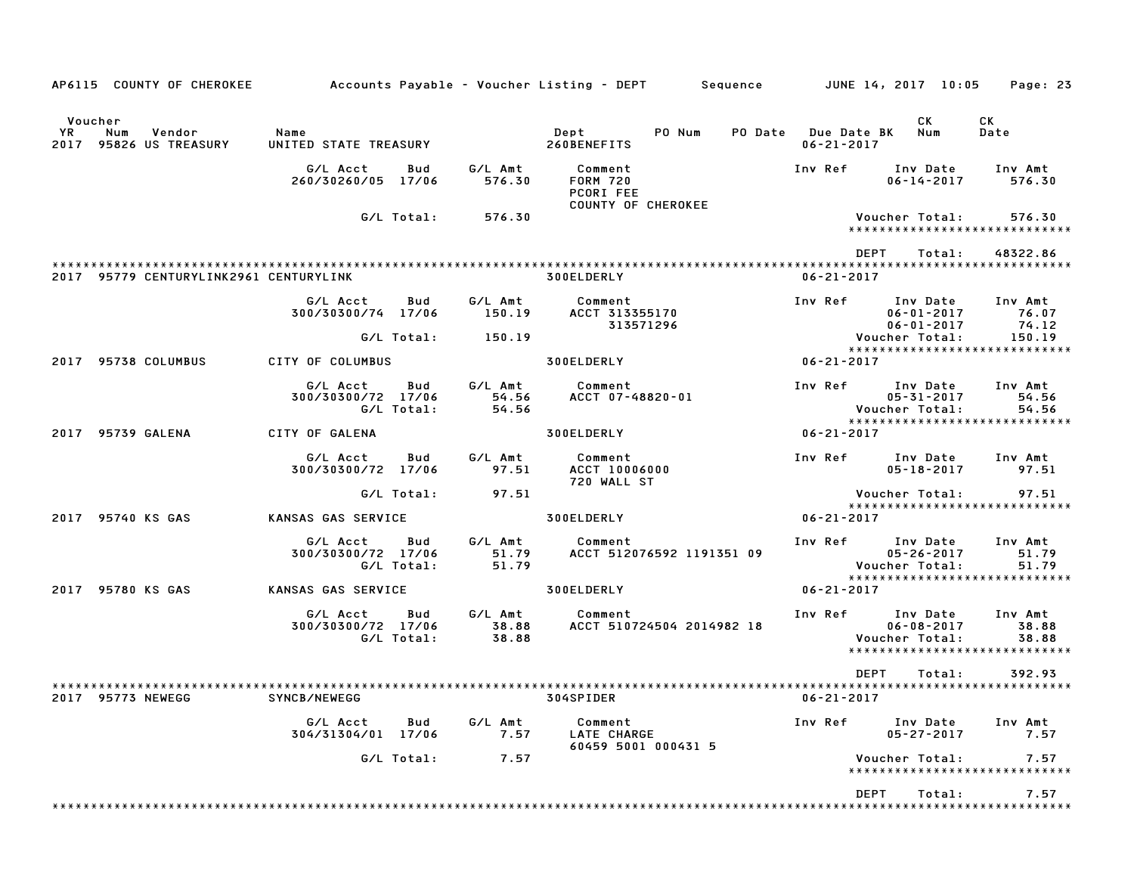| AP6115 COUNTY OF CHEROKEE                                | Accounts Payable – Voucher Listing – DEPT        Sequence         JUNE 14, 2017 10:05     Page: 23 |                   |                   |                                         |                           |                  |                                                                                           |                           |
|----------------------------------------------------------|----------------------------------------------------------------------------------------------------|-------------------|-------------------|-----------------------------------------|---------------------------|------------------|-------------------------------------------------------------------------------------------|---------------------------|
| Voucher<br>YR<br>Vendor<br>Num<br>2017 95826 US TREASURY | Name                                                                                               |                   |                   |                                         |                           | $06 - 21 - 2017$ | CK<br>PO Date Due Date BK Num                                                             | CK<br>Date                |
|                                                          | G/L Acct<br>260/30260/05 17/06                                                                     | Bud               | G/L Amt<br>576.30 | Comment<br><b>FORM 720</b><br>PCORI FEE |                           | Inv Ref          | Inv Date<br>$06 - 14 - 2017$                                                              | Inv Amt<br>576.30         |
|                                                          |                                                                                                    | G/L Total:        | 576.30            | <b>COUNTY OF CHEROKEE</b>               |                           |                  | Voucher Total:<br>*****************************                                           | 576.30                    |
| 2017 95779 CENTURYLINK2961 CENTURYLINK                   |                                                                                                    |                   |                   | <b>300ELDERLY</b>                       |                           | $06 - 21 - 2017$ | DEPT<br>Total:                                                                            | 48322.86                  |
|                                                          | G/L Acct                                                                                           | Bud               | G/L Amt           | Comment                                 |                           |                  | Inv Ref Inv Date Inv Amt                                                                  |                           |
|                                                          | 300/30300/74 17/06                                                                                 |                   | 150.19            | ACCT 313355170<br>313571296             |                           |                  | $06 - 01 - 2017$ 76.07<br>06-01-2017<br>06-01-2017<br>:Voucher Total                      | 74.12                     |
|                                                          |                                                                                                    | G/L Total:        | 150.19            |                                         |                           |                  | *****************************                                                             | 150.19                    |
| 2017 95738 COLUMBUS                                      | CITY OF COLUMBUS                                                                                   |                   |                   | 300ELDERLY                              | $06 - 21 - 2017$          |                  |                                                                                           |                           |
|                                                          | G/L Acct<br>300/30300/72 17/06                                                                     | Bud<br>G/L Total: | 54.56<br>54.56    | G/L Amt Comment<br>ACCT 07-48820-01     |                           |                  | Inv Ref Inv Date<br>05-31-2017<br>05-31-2017<br>:Voucher Total                            | Inv Amt<br>54.56<br>54.56 |
| 2017 95739 GALENA                                        | CITY OF GALENA                                                                                     |                   |                   | <b>300ELDERLY</b>                       |                           | $06 - 21 - 2017$ | *****************************                                                             |                           |
|                                                          |                                                                                                    |                   | G/L Amt           |                                         |                           |                  |                                                                                           |                           |
|                                                          | G/L Acct<br>300/30300/72 17/06                                                                     | Bud               | 97.51             | Comment<br>ACCT 10006000<br>720 WALL ST |                           |                  | Inv Ref Inv Date Inv Amt<br>$05 - 18 - 2017$ 97.51                                        |                           |
|                                                          |                                                                                                    | G/L Total:        | 97.51             |                                         |                           |                  | Voucher Total:                                                                            | 97.51                     |
| 2017 95740 KS GAS                                        | KANSAS GAS SERVICE                                                                                 |                   |                   | <b>300ELDERLY</b>                       |                           | 06-21-2017       | *****************************                                                             |                           |
|                                                          | G/L Acct<br>300/30300/72 17/06                                                                     | Bud<br>G/L Total: | 51.79<br>51.79    | G/L Amt Comment                         | ACCT 512076592 1191351 09 |                  | Inv Ref Inv Date<br>05-26-2017<br>:Voucher Total<br>05-26-2017                            | Inv Amt<br>51.79<br>51.79 |
| 2017 95780 KS GAS                                        | KANSAS GAS SERVICE 300ELDERLY                                                                      |                   |                   |                                         |                           | 06-21-2017       | *****************************                                                             |                           |
|                                                          | G/L Acct   Bud<br>300/30300/72 17/06                                                               | G/L Total:        | 38.88<br>38.88    | G/L Amt Comment                         | ACCT 510724504 2014982 18 |                  | Inv Ref Inv Date Inv Amt<br>06-08-2017<br>Voucher Total:<br>***************************** | 38.88<br>38.88            |
| 95773 NEWEGG                                             | SYNCB/NEWEGG                                                                                       |                   |                   | 304SPIDER                               |                           | $06 - 21 - 2017$ | <b>DEPT</b><br>Total:                                                                     | 392.93                    |
|                                                          | G/L Acct<br>304/31304/01 17/06                                                                     | Bud               | G/L Amt<br>7.57   | Comment<br>LATE CHARGE                  | 60459 5001 000431 5       | Inv Ref          | Inv Date<br>$05 - 27 - 2017$                                                              | Inv Amt<br>7.57           |
|                                                          |                                                                                                    | G/L Total:        | 7.57              |                                         |                           |                  | Voucher Total:<br>*****************************                                           | 7.57                      |
|                                                          |                                                                                                    |                   |                   |                                         |                           |                  |                                                                                           |                           |
|                                                          |                                                                                                    |                   |                   |                                         |                           |                  | DEPT<br>Total:                                                                            | 7.57                      |